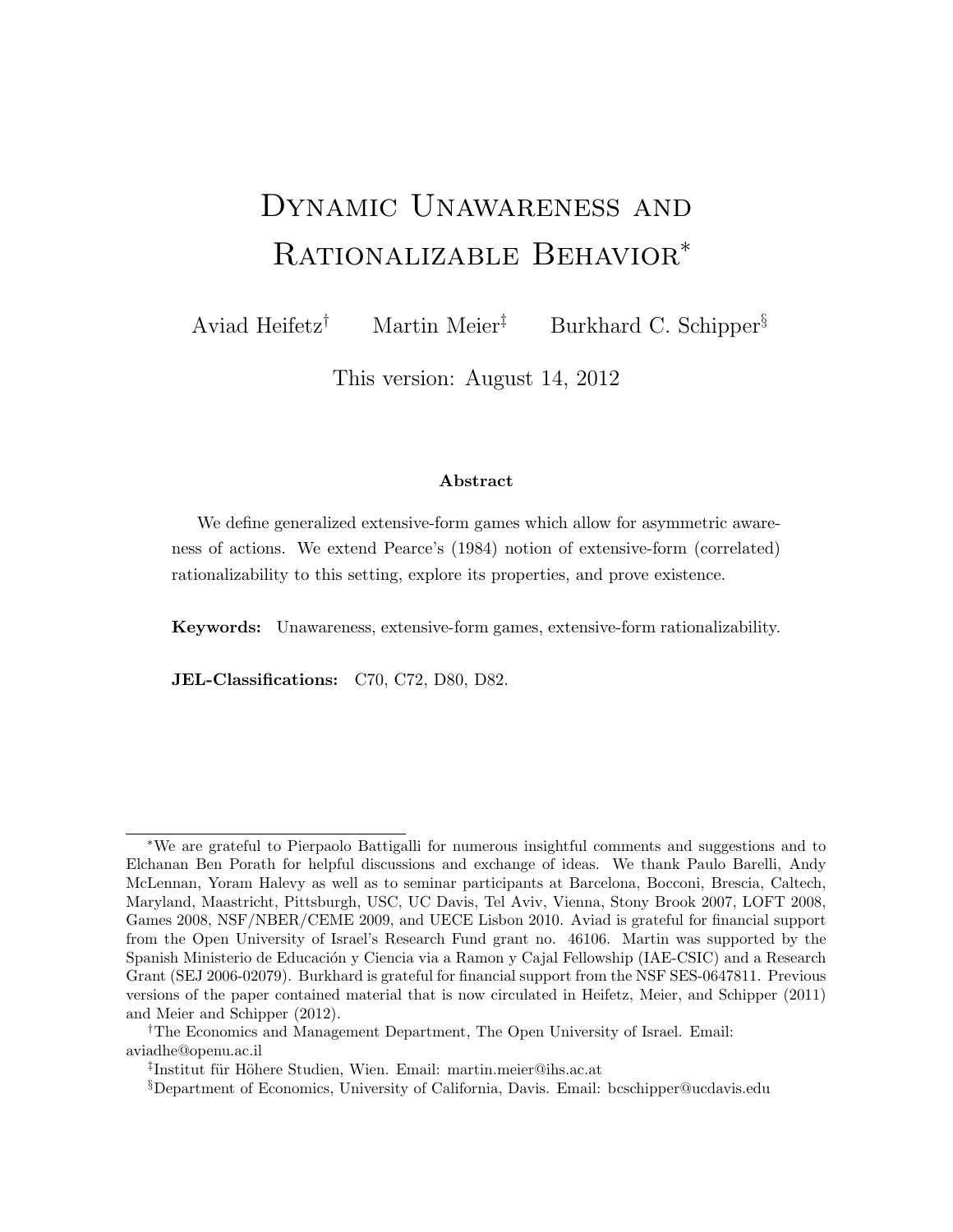# Dynamic Unawareness and Rationalizable Behavior<sup>∗</sup>

Aviad Heifetz<sup>†</sup> Martin Meier<sup>‡</sup> Burkhard C. Schipper<sup>§</sup>

This version: August 14, 2012

#### Abstract

We define generalized extensive-form games which allow for asymmetric awareness of actions. We extend Pearce's (1984) notion of extensive-form (correlated) rationalizability to this setting, explore its properties, and prove existence.

Keywords: Unawareness, extensive-form games, extensive-form rationalizability.

JEL-Classifications: C70, C72, D80, D82.

<sup>∗</sup>We are grateful to Pierpaolo Battigalli for numerous insightful comments and suggestions and to Elchanan Ben Porath for helpful discussions and exchange of ideas. We thank Paulo Barelli, Andy McLennan, Yoram Halevy as well as to seminar participants at Barcelona, Bocconi, Brescia, Caltech, Maryland, Maastricht, Pittsburgh, USC, UC Davis, Tel Aviv, Vienna, Stony Brook 2007, LOFT 2008, Games 2008, NSF/NBER/CEME 2009, and UECE Lisbon 2010. Aviad is grateful for financial support from the Open University of Israel's Research Fund grant no. 46106. Martin was supported by the Spanish Ministerio de Educación y Ciencia via a Ramon y Cajal Fellowship (IAE-CSIC) and a Research Grant (SEJ 2006-02079). Burkhard is grateful for financial support from the NSF SES-0647811. Previous versions of the paper contained material that is now circulated in Heifetz, Meier, and Schipper (2011) and Meier and Schipper (2012).

<sup>†</sup>The Economics and Management Department, The Open University of Israel. Email: aviadhe@openu.ac.il

<sup>&</sup>lt;sup>‡</sup>Institut für Höhere Studien, Wien. Email: martin.meier@ihs.ac.at

<sup>§</sup>Department of Economics, University of California, Davis. Email: bcschipper@ucdavis.edu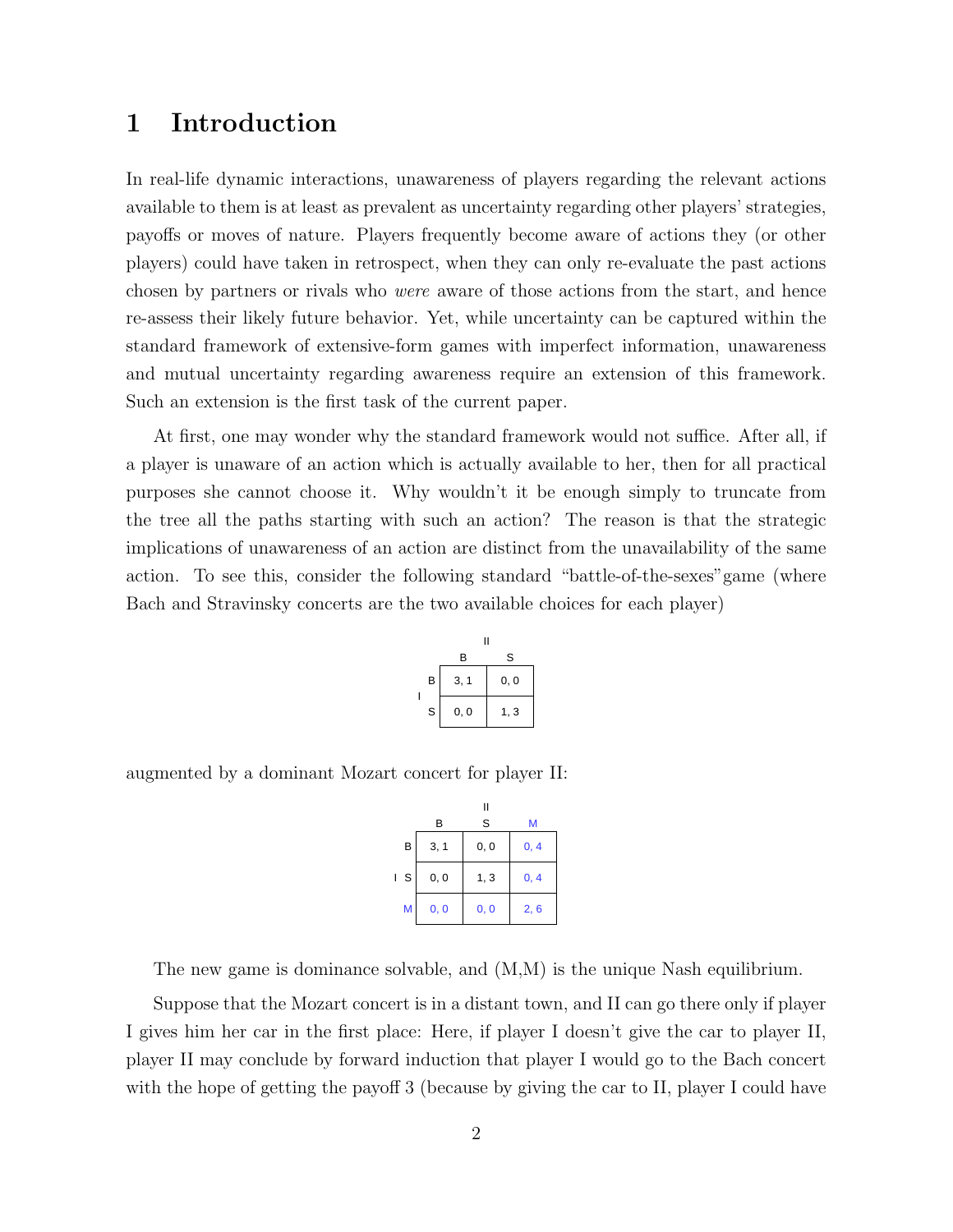# 1 Introduction

In real-life dynamic interactions, unawareness of players regarding the relevant actions available to them is at least as prevalent as uncertainty regarding other players' strategies, payoffs or moves of nature. Players frequently become aware of actions they (or other players) could have taken in retrospect, when they can only re-evaluate the past actions chosen by partners or rivals who were aware of those actions from the start, and hence re-assess their likely future behavior. Yet, while uncertainty can be captured within the standard framework of extensive-form games with imperfect information, unawareness and mutual uncertainty regarding awareness require an extension of this framework. Such an extension is the first task of the current paper.

At first, one may wonder why the standard framework would not suffice. After all, if a player is unaware of an action which is actually available to her, then for all practical purposes she cannot choose it. Why wouldn't it be enough simply to truncate from the tree all the paths starting with such an action? The reason is that the strategic implications of unawareness of an action are distinct from the unavailability of the same action. To see this, consider the following standard "battle-of-the-sexes"game (where Bach and Stravinsky concerts are the two available choices for each player)

|   | II   |      |
|---|------|------|
|   | B    | S    |
| B | 3, 1 | 0, 0 |
| S | 0, 0 | 1, 3 |
|   |      |      |

augmented by a dominant Mozart concert for player II:

|   | В    | П<br>S | м    |
|---|------|--------|------|
| В | 3, 1 | 0, 0   | 0, 4 |
| S | 0, 0 | 1, 3   | 0, 4 |
| M | 0, 0 | 0, 0   | 2, 6 |

The new game is dominance solvable, and (M,M) is the unique Nash equilibrium.

Suppose that the Mozart concert is in a distant town, and II can go there only if player I gives him her car in the first place: Here, if player I doesn't give the car to player II, player II may conclude by forward induction that player I would go to the Bach concert with the hope of getting the payoff 3 (because by giving the car to II, player I could have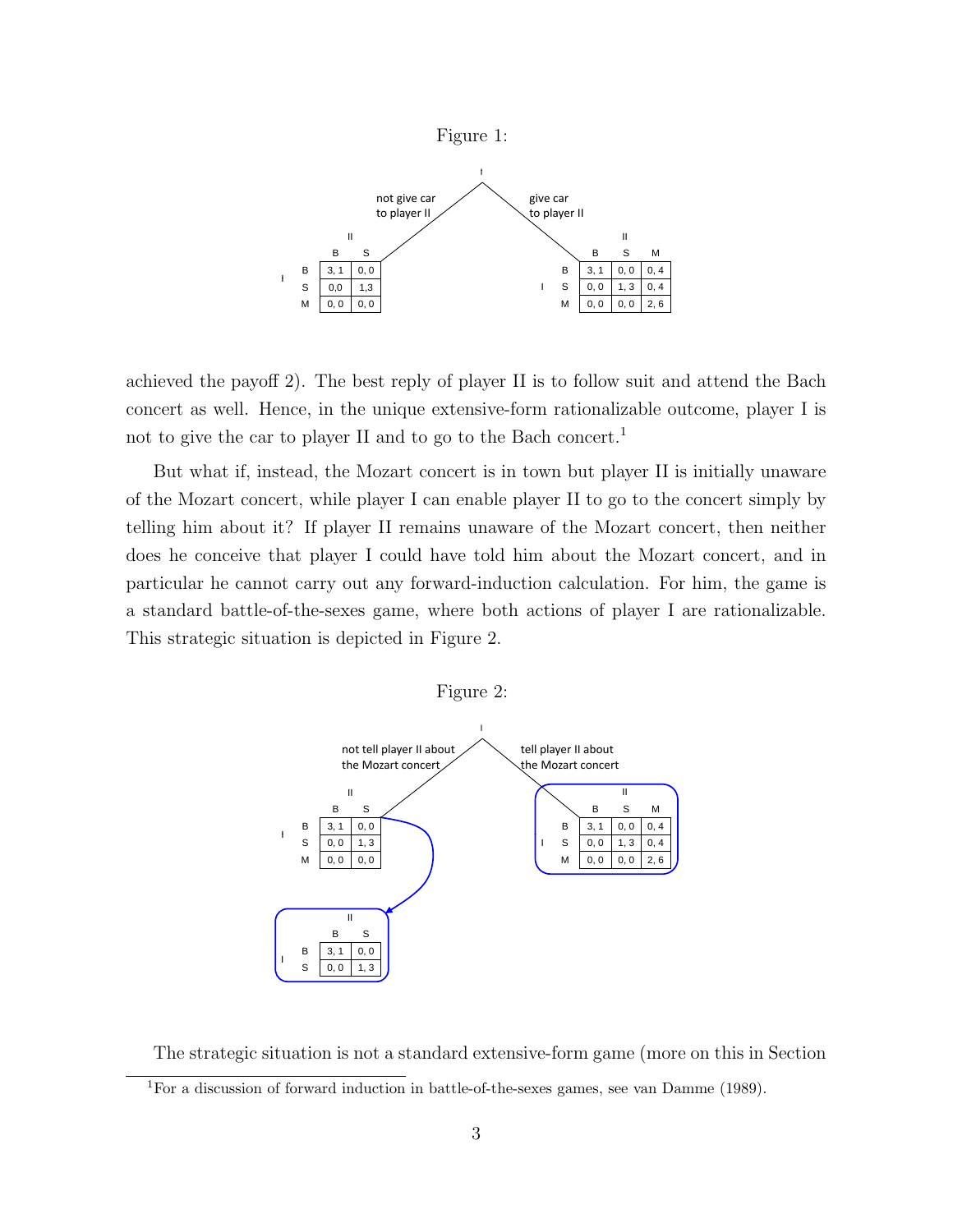

achieved the payoff 2). The best reply of player II is to follow suit and attend the Bach concert as well. Hence, in the unique extensive-form rationalizable outcome, player I is not to give the car to player II and to go to the Bach concert.<sup>1</sup>

But what if, instead, the Mozart concert is in town but player II is initially unaware of the Mozart concert, while player I can enable player II to go to the concert simply by telling him about it? If player II remains unaware of the Mozart concert, then neither does he conceive that player I could have told him about the Mozart concert, and in particular he cannot carry out any forward-induction calculation. For him, the game is a standard battle-of-the-sexes game, where both actions of player I are rationalizable. This strategic situation is depicted in Figure 2.



The strategic situation is not a standard extensive-form game (more on this in Section

<sup>1</sup>For a discussion of forward induction in battle-of-the-sexes games, see van Damme (1989).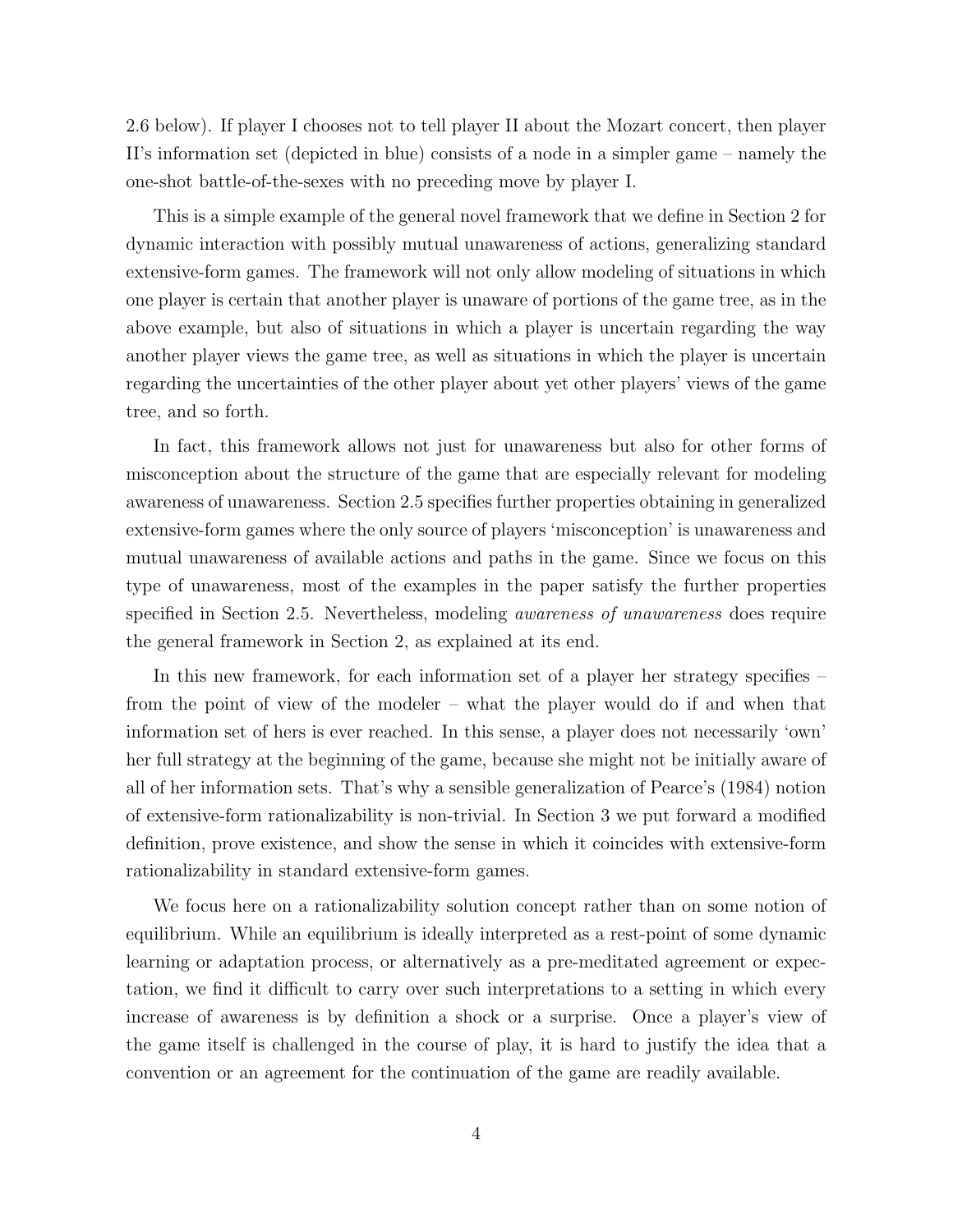2.6 below). If player I chooses not to tell player II about the Mozart concert, then player II's information set (depicted in blue) consists of a node in a simpler game – namely the one-shot battle-of-the-sexes with no preceding move by player I.

This is a simple example of the general novel framework that we define in Section 2 for dynamic interaction with possibly mutual unawareness of actions, generalizing standard extensive-form games. The framework will not only allow modeling of situations in which one player is certain that another player is unaware of portions of the game tree, as in the above example, but also of situations in which a player is uncertain regarding the way another player views the game tree, as well as situations in which the player is uncertain regarding the uncertainties of the other player about yet other players' views of the game tree, and so forth.

In fact, this framework allows not just for unawareness but also for other forms of misconception about the structure of the game that are especially relevant for modeling awareness of unawareness. Section 2.5 specifies further properties obtaining in generalized extensive-form games where the only source of players 'misconception' is unawareness and mutual unawareness of available actions and paths in the game. Since we focus on this type of unawareness, most of the examples in the paper satisfy the further properties specified in Section 2.5. Nevertheless, modeling awareness of unawareness does require the general framework in Section 2, as explained at its end.

In this new framework, for each information set of a player her strategy specifies – from the point of view of the modeler – what the player would do if and when that information set of hers is ever reached. In this sense, a player does not necessarily 'own' her full strategy at the beginning of the game, because she might not be initially aware of all of her information sets. That's why a sensible generalization of Pearce's (1984) notion of extensive-form rationalizability is non-trivial. In Section 3 we put forward a modified definition, prove existence, and show the sense in which it coincides with extensive-form rationalizability in standard extensive-form games.

We focus here on a rationalizability solution concept rather than on some notion of equilibrium. While an equilibrium is ideally interpreted as a rest-point of some dynamic learning or adaptation process, or alternatively as a pre-meditated agreement or expectation, we find it difficult to carry over such interpretations to a setting in which every increase of awareness is by definition a shock or a surprise. Once a player's view of the game itself is challenged in the course of play, it is hard to justify the idea that a convention or an agreement for the continuation of the game are readily available.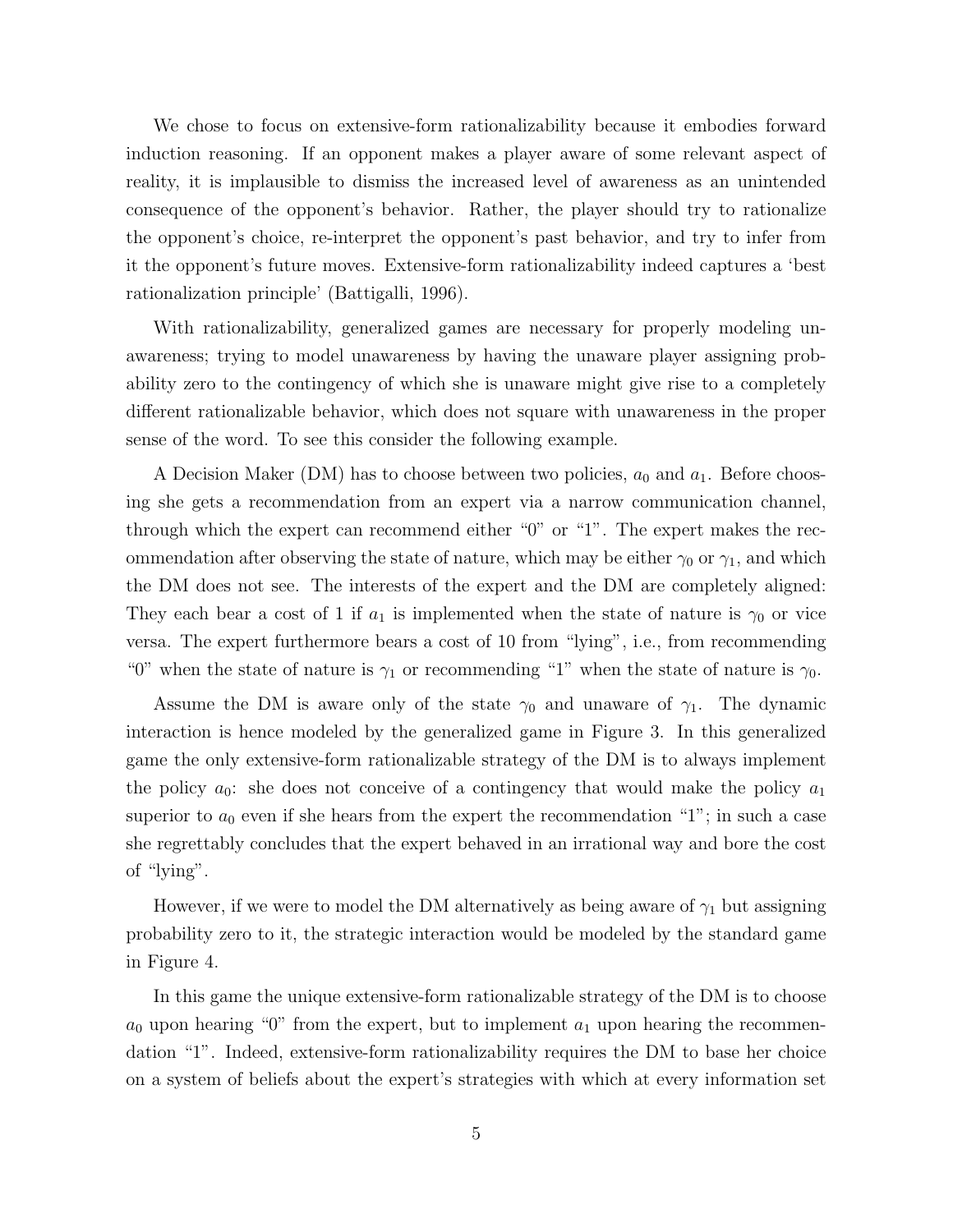We chose to focus on extensive-form rationalizability because it embodies forward induction reasoning. If an opponent makes a player aware of some relevant aspect of reality, it is implausible to dismiss the increased level of awareness as an unintended consequence of the opponent's behavior. Rather, the player should try to rationalize the opponent's choice, re-interpret the opponent's past behavior, and try to infer from it the opponent's future moves. Extensive-form rationalizability indeed captures a 'best rationalization principle' (Battigalli, 1996).

With rationalizability, generalized games are necessary for properly modeling unawareness; trying to model unawareness by having the unaware player assigning probability zero to the contingency of which she is unaware might give rise to a completely different rationalizable behavior, which does not square with unawareness in the proper sense of the word. To see this consider the following example.

A Decision Maker (DM) has to choose between two policies,  $a_0$  and  $a_1$ . Before choosing she gets a recommendation from an expert via a narrow communication channel, through which the expert can recommend either "0" or "1". The expert makes the recommendation after observing the state of nature, which may be either  $\gamma_0$  or  $\gamma_1$ , and which the DM does not see. The interests of the expert and the DM are completely aligned: They each bear a cost of 1 if  $a_1$  is implemented when the state of nature is  $\gamma_0$  or vice versa. The expert furthermore bears a cost of 10 from "lying", i.e., from recommending "0" when the state of nature is  $\gamma_1$  or recommending "1" when the state of nature is  $\gamma_0$ .

Assume the DM is aware only of the state  $\gamma_0$  and unaware of  $\gamma_1$ . The dynamic interaction is hence modeled by the generalized game in Figure 3. In this generalized game the only extensive-form rationalizable strategy of the DM is to always implement the policy  $a_0$ : she does not conceive of a contingency that would make the policy  $a_1$ superior to  $a_0$  even if she hears from the expert the recommendation "1"; in such a case she regrettably concludes that the expert behaved in an irrational way and bore the cost of "lying".

However, if we were to model the DM alternatively as being aware of  $\gamma_1$  but assigning probability zero to it, the strategic interaction would be modeled by the standard game in Figure 4.

In this game the unique extensive-form rationalizable strategy of the DM is to choose  $a_0$  upon hearing "0" from the expert, but to implement  $a_1$  upon hearing the recommendation "1". Indeed, extensive-form rationalizability requires the DM to base her choice on a system of beliefs about the expert's strategies with which at every information set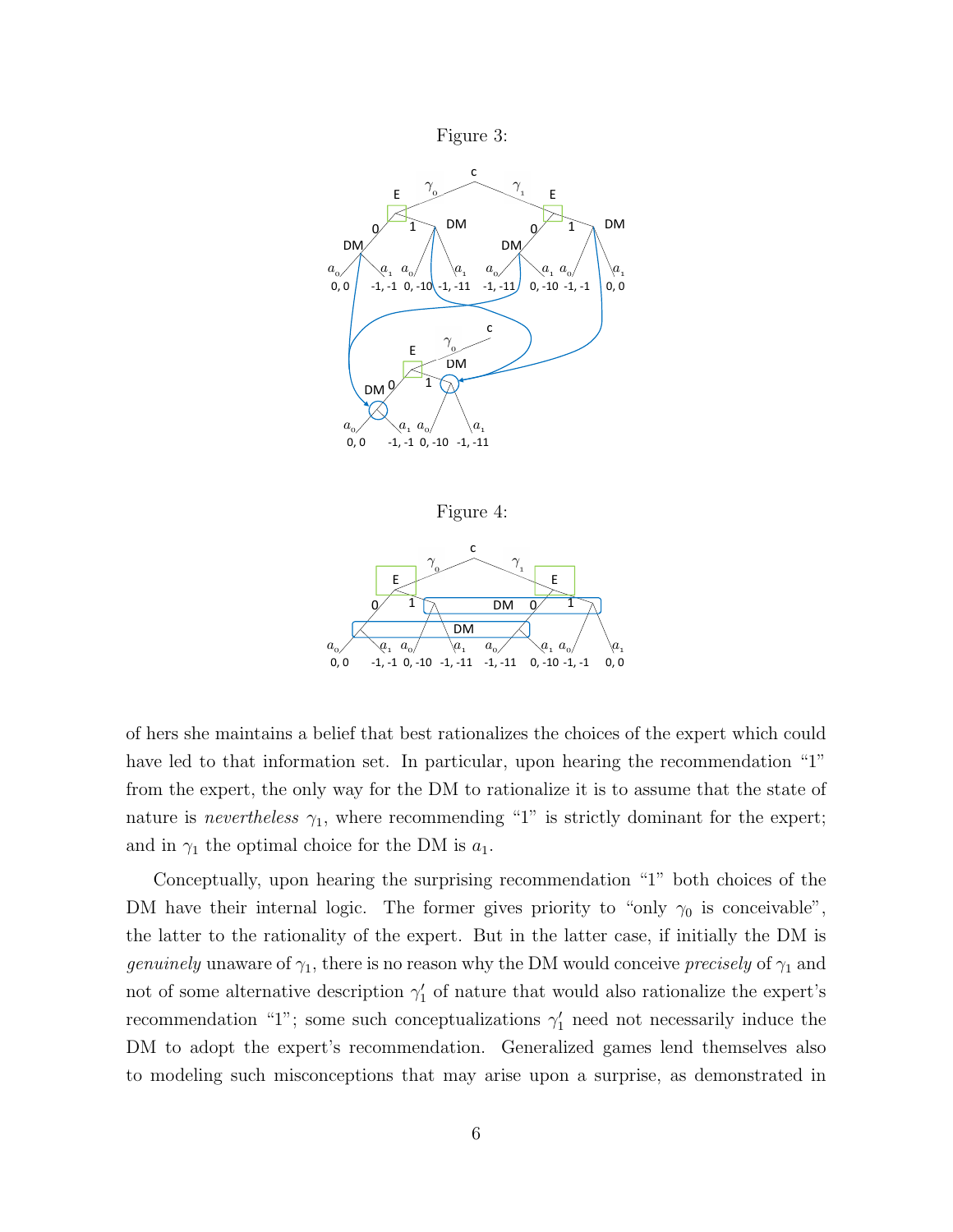



Figure 4:



of hers she maintains a belief that best rationalizes the choices of the expert which could have led to that information set. In particular, upon hearing the recommendation "1" from the expert, the only way for the DM to rationalize it is to assume that the state of nature is *nevertheless*  $\gamma_1$ , where recommending "1" is strictly dominant for the expert; and in  $\gamma_1$  the optimal choice for the DM is  $a_1$ .

Conceptually, upon hearing the surprising recommendation "1" both choices of the DM have their internal logic. The former gives priority to "only  $\gamma_0$  is conceivable", the latter to the rationality of the expert. But in the latter case, if initially the DM is *genuinely* unaware of  $\gamma_1,$  there is no reason why the DM would conceive  $\mathit{precisely}$  of  $\gamma_1$  and not of some alternative description  $\gamma'_1$  of nature that would also rationalize the expert's recommendation "1"; some such conceptualizations  $\gamma'_1$  need not necessarily induce the DM to adopt the expert's recommendation. Generalized games lend themselves also to modeling such misconceptions that may arise upon a surprise, as demonstrated in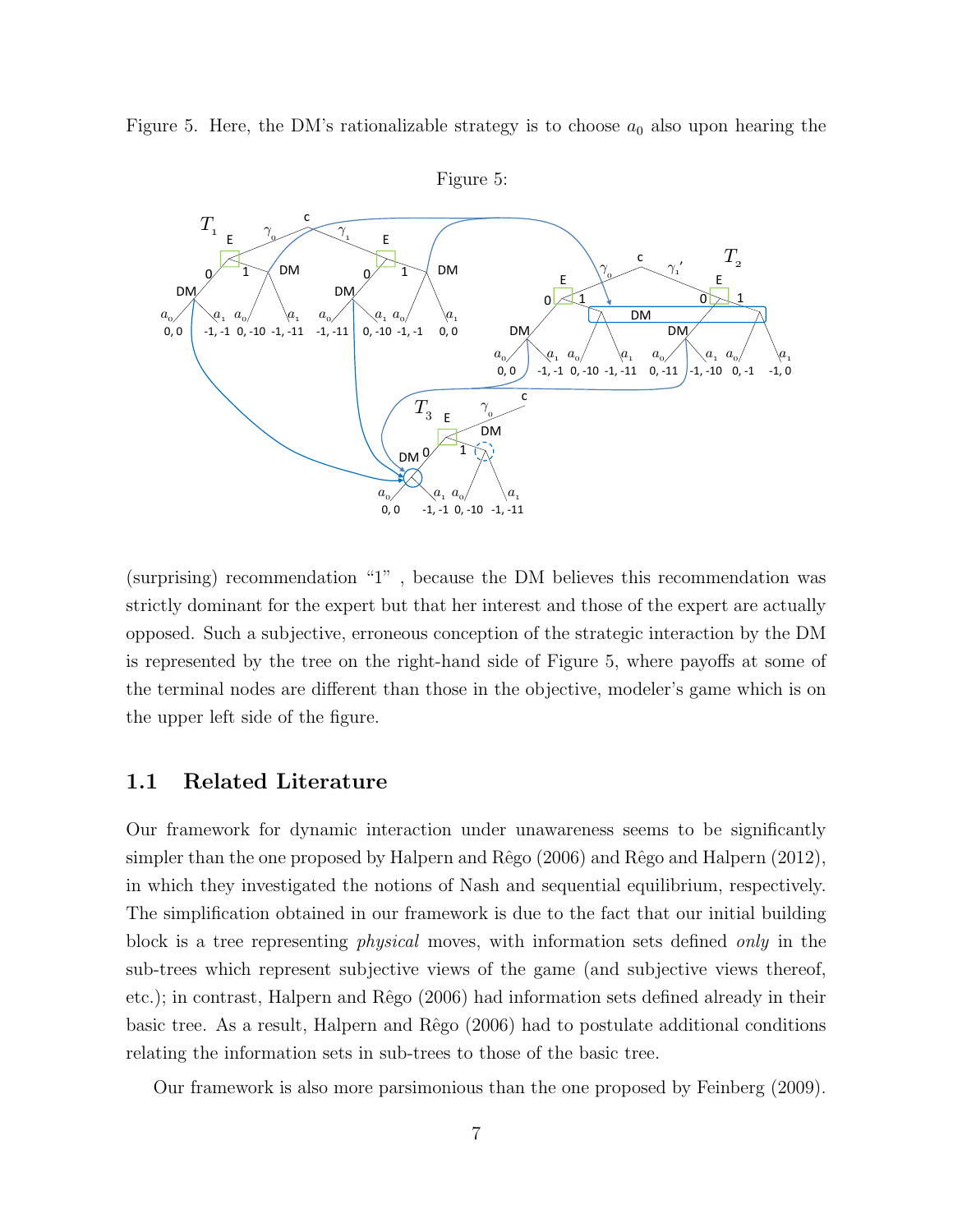Figure 5. Here, the DM's rationalizable strategy is to choose  $a_0$  also upon hearing the DM DM's retionalizable strategy is  $\omega$  $\sigma$  trot DM  $\overline{a}$  elge up



(surprising) recommendation "1" , because the DM believes this recommendation was strictly dominant for the expert but that her interest and those of the expert are actually opposed. Such a subjective, erroneous conception of the strategic interaction by the DM is represented by the tree on the right-hand side of Figure 5, where payoffs at some of the terminal nodes are different than those in the objective, modeler's game which is on the upper left side of the figure.

# 1.1 Related Literature

Our framework for dynamic interaction under unawareness seems to be significantly simpler than the one proposed by Halpern and  $Rêgo (2006)$  and  $Rêgo$  and Halpern (2012), in which they investigated the notions of Nash and sequential equilibrium, respectively. The simplification obtained in our framework is due to the fact that our initial building block is a tree representing physical moves, with information sets defined only in the sub-trees which represent subjective views of the game (and subjective views thereof, etc.); in contrast, Halpern and Rêgo (2006) had information sets defined already in their basic tree. As a result, Halpern and Rêgo (2006) had to postulate additional conditions relating the information sets in sub-trees to those of the basic tree.

Our framework is also more parsimonious than the one proposed by Feinberg (2009).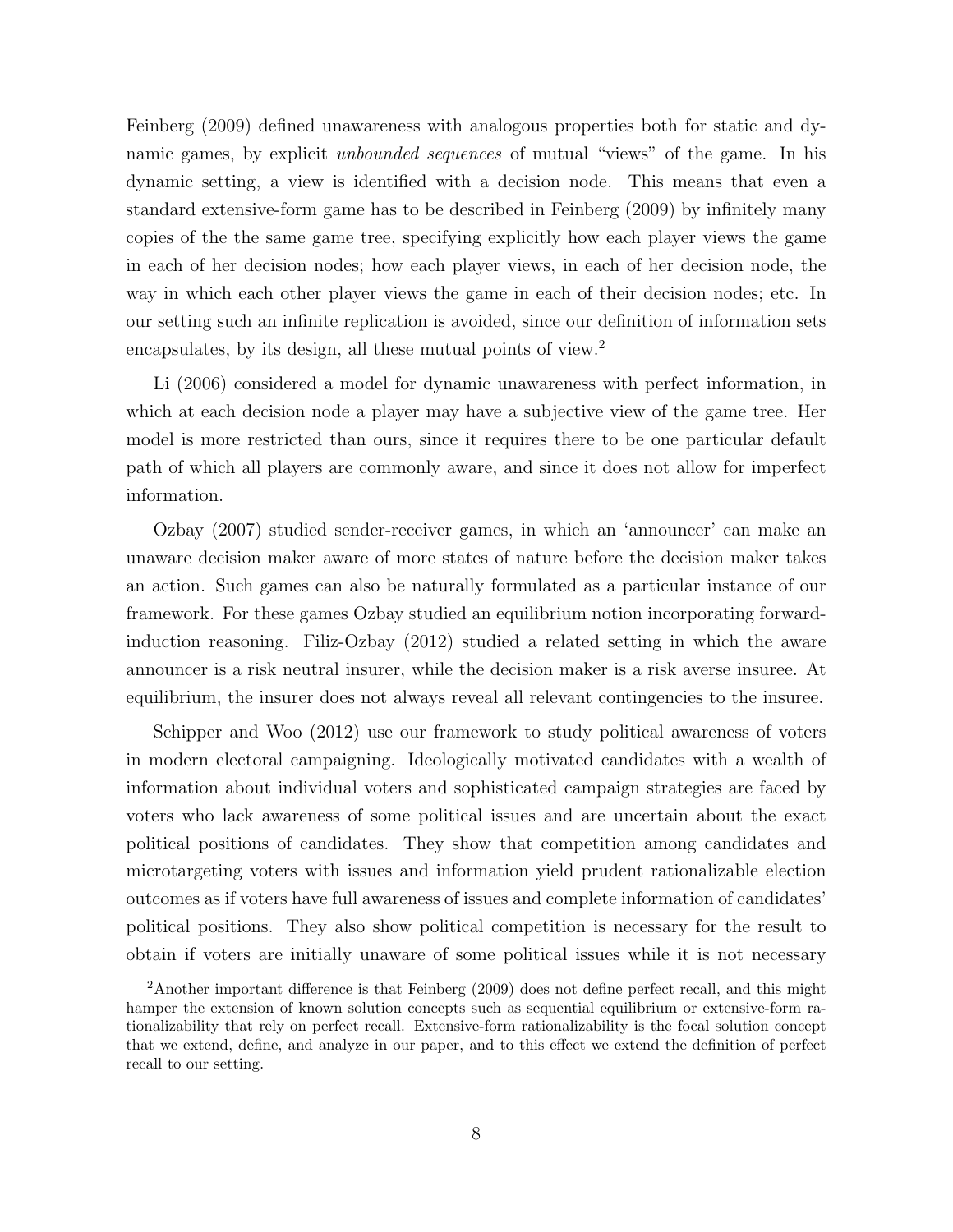Feinberg (2009) defined unawareness with analogous properties both for static and dynamic games, by explicit *unbounded sequences* of mutual "views" of the game. In his dynamic setting, a view is identified with a decision node. This means that even a standard extensive-form game has to be described in Feinberg (2009) by infinitely many copies of the the same game tree, specifying explicitly how each player views the game in each of her decision nodes; how each player views, in each of her decision node, the way in which each other player views the game in each of their decision nodes; etc. In our setting such an infinite replication is avoided, since our definition of information sets encapsulates, by its design, all these mutual points of view.<sup>2</sup>

Li (2006) considered a model for dynamic unawareness with perfect information, in which at each decision node a player may have a subjective view of the game tree. Her model is more restricted than ours, since it requires there to be one particular default path of which all players are commonly aware, and since it does not allow for imperfect information.

Ozbay (2007) studied sender-receiver games, in which an 'announcer' can make an unaware decision maker aware of more states of nature before the decision maker takes an action. Such games can also be naturally formulated as a particular instance of our framework. For these games Ozbay studied an equilibrium notion incorporating forwardinduction reasoning. Filiz-Ozbay (2012) studied a related setting in which the aware announcer is a risk neutral insurer, while the decision maker is a risk averse insuree. At equilibrium, the insurer does not always reveal all relevant contingencies to the insuree.

Schipper and Woo (2012) use our framework to study political awareness of voters in modern electoral campaigning. Ideologically motivated candidates with a wealth of information about individual voters and sophisticated campaign strategies are faced by voters who lack awareness of some political issues and are uncertain about the exact political positions of candidates. They show that competition among candidates and microtargeting voters with issues and information yield prudent rationalizable election outcomes as if voters have full awareness of issues and complete information of candidates' political positions. They also show political competition is necessary for the result to obtain if voters are initially unaware of some political issues while it is not necessary

<sup>2</sup>Another important difference is that Feinberg (2009) does not define perfect recall, and this might hamper the extension of known solution concepts such as sequential equilibrium or extensive-form rationalizability that rely on perfect recall. Extensive-form rationalizability is the focal solution concept that we extend, define, and analyze in our paper, and to this effect we extend the definition of perfect recall to our setting.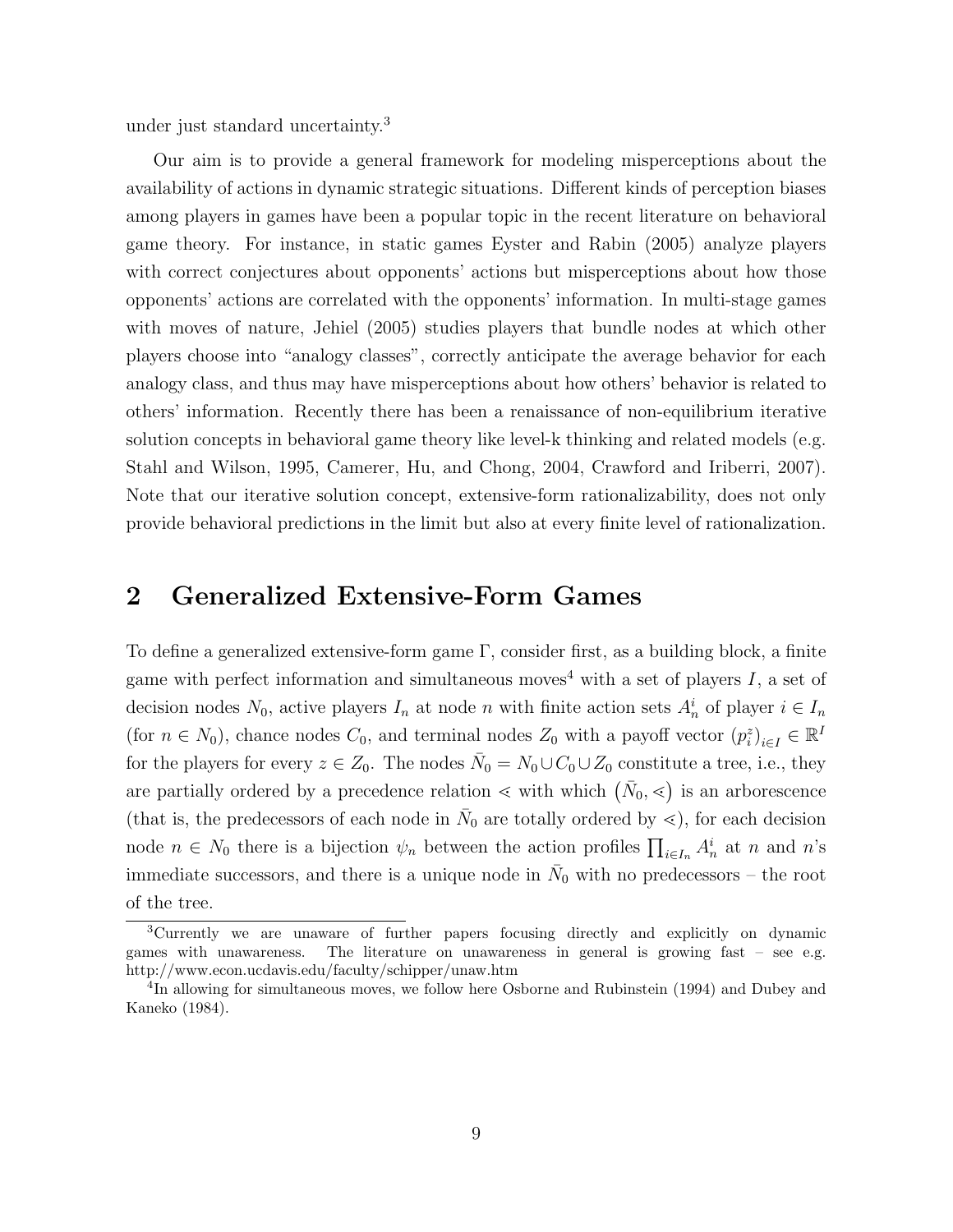under just standard uncertainty.<sup>3</sup>

Our aim is to provide a general framework for modeling misperceptions about the availability of actions in dynamic strategic situations. Different kinds of perception biases among players in games have been a popular topic in the recent literature on behavioral game theory. For instance, in static games Eyster and Rabin (2005) analyze players with correct conjectures about opponents' actions but misperceptions about how those opponents' actions are correlated with the opponents' information. In multi-stage games with moves of nature, Jehiel (2005) studies players that bundle nodes at which other players choose into "analogy classes", correctly anticipate the average behavior for each analogy class, and thus may have misperceptions about how others' behavior is related to others' information. Recently there has been a renaissance of non-equilibrium iterative solution concepts in behavioral game theory like level-k thinking and related models (e.g. Stahl and Wilson, 1995, Camerer, Hu, and Chong, 2004, Crawford and Iriberri, 2007). Note that our iterative solution concept, extensive-form rationalizability, does not only provide behavioral predictions in the limit but also at every finite level of rationalization.

# 2 Generalized Extensive-Form Games

To define a generalized extensive-form game  $\Gamma$ , consider first, as a building block, a finite game with perfect information and simultaneous moves<sup>4</sup> with a set of players  $I$ , a set of decision nodes  $N_0$ , active players  $I_n$  at node n with finite action sets  $A_n^i$  of player  $i \in I_n$ (for  $n \in N_0$ ), chance nodes  $C_0$ , and terminal nodes  $Z_0$  with a payoff vector  $(p_i^z)_{i \in I} \in \mathbb{R}^I$ for the players for every  $z \in Z_0$ . The nodes  $\bar{N}_0 = N_0 \cup C_0 \cup Z_0$  constitute a tree, i.e., they are partially ordered by a precedence relation  $\lt$  with which  $(\bar{N}_0, \lt)$  is an arborescence (that is, the predecessors of each node in  $\bar{N}_0$  are totally ordered by  $\leq$ ), for each decision node  $n \in N_0$  there is a bijection  $\psi_n$  between the action profiles  $\prod_{i \in I_n} A_n^i$  at n and n's immediate successors, and there is a unique node in  $\bar{N}_0$  with no predecessors – the root of the tree.

<sup>3</sup>Currently we are unaware of further papers focusing directly and explicitly on dynamic games with unawareness. The literature on unawareness in general is growing fast – see e.g. http://www.econ.ucdavis.edu/faculty/schipper/unaw.htm

<sup>&</sup>lt;sup>4</sup>In allowing for simultaneous moves, we follow here Osborne and Rubinstein (1994) and Dubey and Kaneko (1984).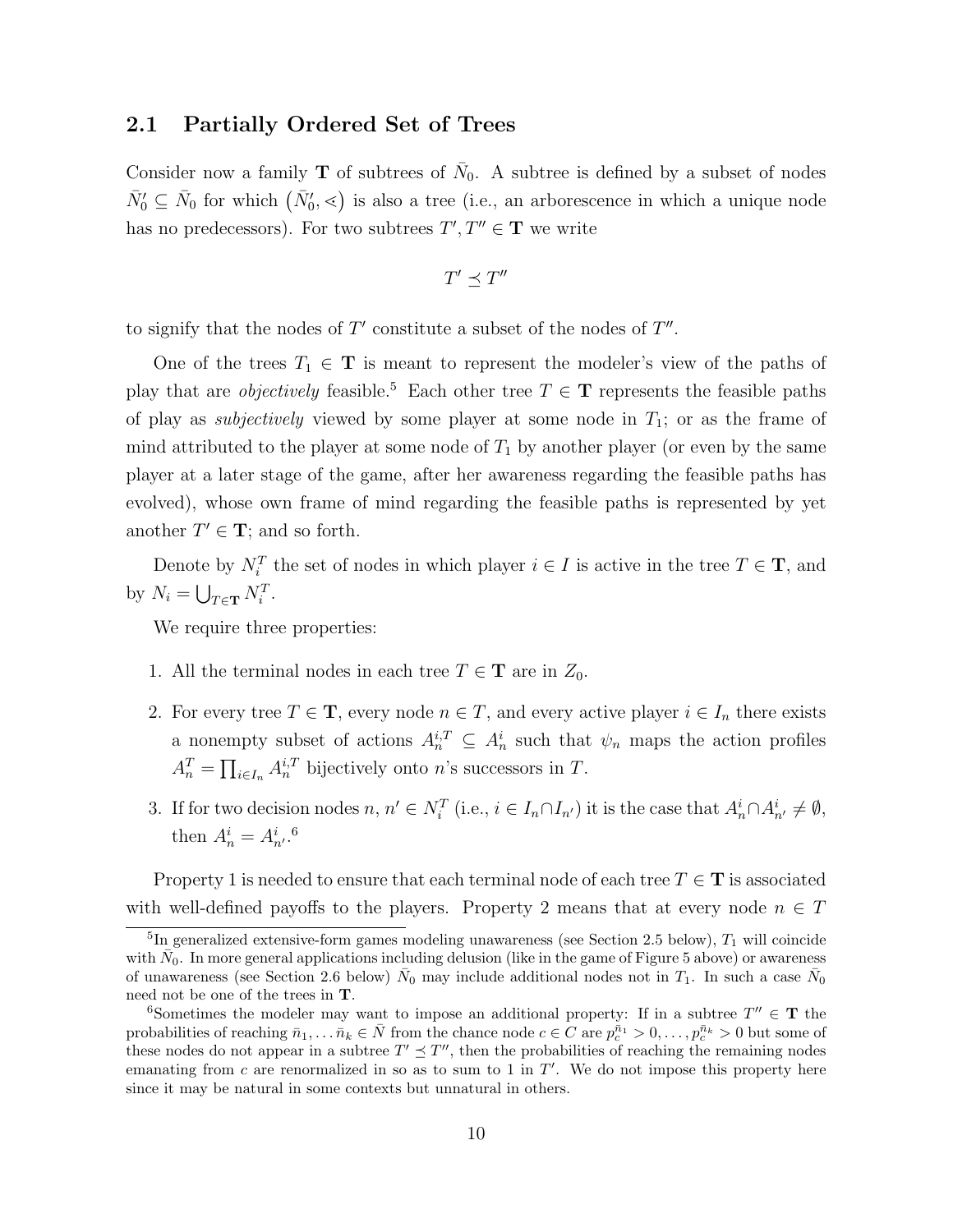### 2.1 Partially Ordered Set of Trees

Consider now a family **T** of subtrees of  $\bar{N}_0$ . A subtree is defined by a subset of nodes  $\bar{N}'_0 \subseteq \bar{N}_0$  for which  $(\bar{N}'_0, \leq)$  is also a tree (i.e., an arborescence in which a unique node has no predecessors). For two subtrees  $T', T'' \in \mathbf{T}$  we write

$$
T'\preceq T''
$$

to signify that the nodes of  $T'$  constitute a subset of the nodes of  $T''$ .

One of the trees  $T_1 \in \mathbf{T}$  is meant to represent the modeler's view of the paths of play that are *objectively* feasible.<sup>5</sup> Each other tree  $T \in \mathbf{T}$  represents the feasible paths of play as *subjectively* viewed by some player at some node in  $T_1$ ; or as the frame of mind attributed to the player at some node of  $T_1$  by another player (or even by the same player at a later stage of the game, after her awareness regarding the feasible paths has evolved), whose own frame of mind regarding the feasible paths is represented by yet another  $T' \in \mathbf{T}$ ; and so forth.

Denote by  $N_i^T$  the set of nodes in which player  $i \in I$  is active in the tree  $T \in \mathbf{T}$ , and by  $N_i = \bigcup_{T \in \mathbf{T}} N_i^T$ .

We require three properties:

- 1. All the terminal nodes in each tree  $T \in \mathbf{T}$  are in  $Z_0$ .
- 2. For every tree  $T \in \mathbf{T}$ , every node  $n \in T$ , and every active player  $i \in I_n$  there exists a nonempty subset of actions  $A_n^{i,T} \subseteq A_n^i$  such that  $\psi_n$  maps the action profiles  $A_n^T = \prod_{i \in I_n} A_n^{i,T}$  bijectively onto *n*'s successors in *T*.
- 3. If for two decision nodes  $n, n' \in N_i^T$  (i.e.,  $i \in I_n \cap I_{n'}$ ) it is the case that  $A_n^i \cap A_{n'}^i \neq \emptyset$ , then  $A_n^i = A_{n'}^i$ .<sup>6</sup>

Property 1 is needed to ensure that each terminal node of each tree  $T \in \mathbf{T}$  is associated with well-defined payoffs to the players. Property 2 means that at every node  $n \in T$ 

<sup>&</sup>lt;sup>5</sup>In generalized extensive-form games modeling unawareness (see Section 2.5 below),  $T_1$  will coincide with  $\bar{N_0}$ . In more general applications including delusion (like in the game of Figure 5 above) or awareness of unawareness (see Section 2.6 below)  $\bar{N}_0$  may include additional nodes not in  $T_1$ . In such a case  $\bar{N}_0$ need not be one of the trees in T.

<sup>&</sup>lt;sup>6</sup>Sometimes the modeler may want to impose an additional property: If in a subtree  $T'' \in \mathbf{T}$  the probabilities of reaching  $\bar{n}_1,\ldots,\bar{n}_k\in\bar{N}$  from the chance node  $c\in C$  are  $p_c^{\bar{n}_1}>0,\ldots,p_c^{\bar{n}_k}>0$  but some of these nodes do not appear in a subtree  $T' \preceq T''$ , then the probabilities of reaching the remaining nodes emanating from  $c$  are renormalized in so as to sum to 1 in  $T'$ . We do not impose this property here since it may be natural in some contexts but unnatural in others.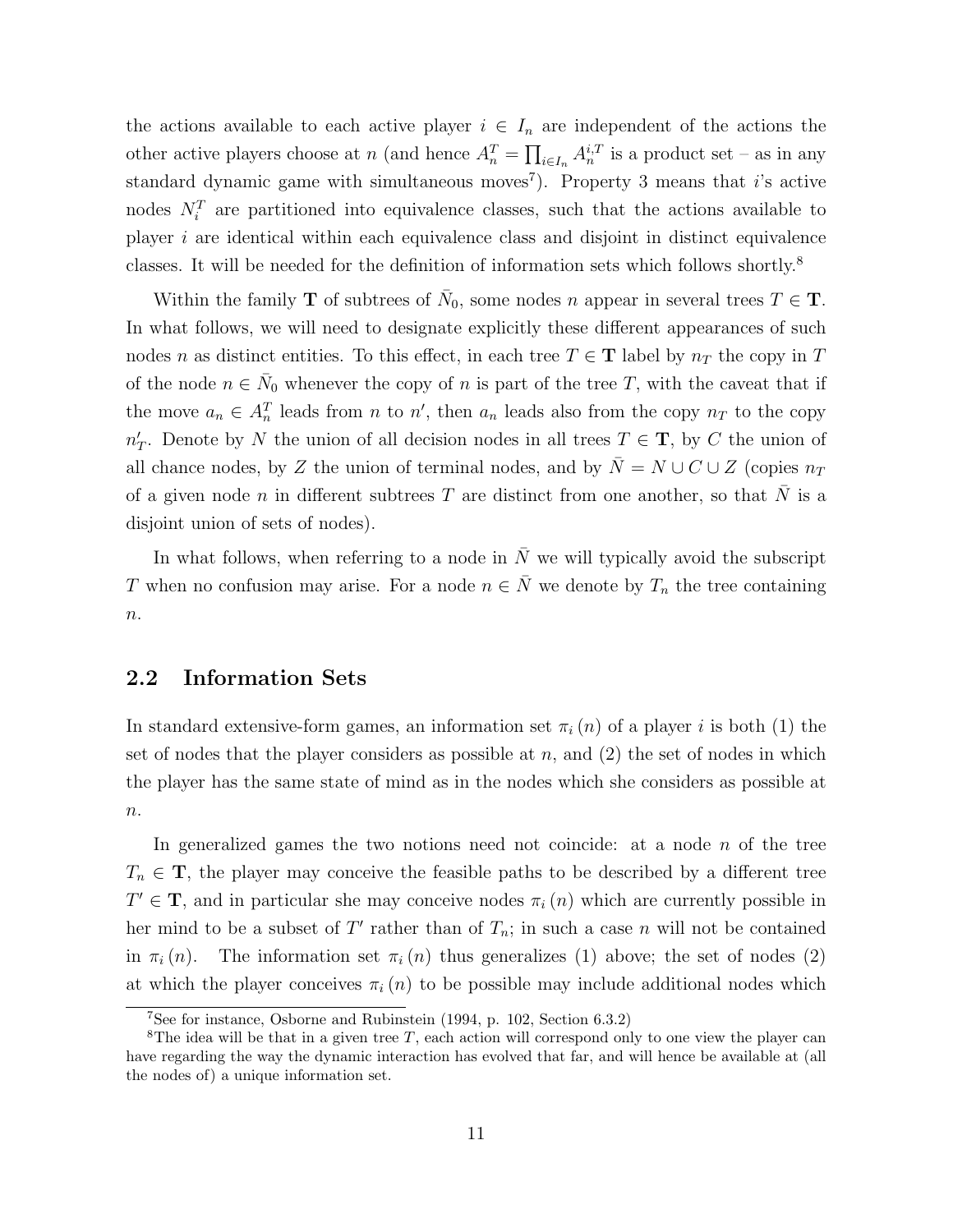the actions available to each active player  $i \in I_n$  are independent of the actions the other active players choose at n (and hence  $A_n^T = \prod_{i \in I_n} A_n^{i,T}$  is a product set – as in any standard dynamic game with simultaneous moves<sup>7</sup>). Property 3 means that *i*'s active nodes  $N_i^T$  are partitioned into equivalence classes, such that the actions available to player  $i$  are identical within each equivalence class and disjoint in distinct equivalence classes. It will be needed for the definition of information sets which follows shortly.<sup>8</sup>

Within the family **T** of subtrees of  $\bar{N}_0$ , some nodes n appear in several trees  $T \in \mathbf{T}$ . In what follows, we will need to designate explicitly these different appearances of such nodes n as distinct entities. To this effect, in each tree  $T \in \mathbf{T}$  label by  $n_T$  the copy in T of the node  $n \in \bar{N}_0$  whenever the copy of n is part of the tree T, with the caveat that if the move  $a_n \in A_n^T$  leads from n to n', then  $a_n$  leads also from the copy  $n_T$  to the copy  $n'_T$ . Denote by N the union of all decision nodes in all trees  $T \in \mathbf{T}$ , by C the union of all chance nodes, by Z the union of terminal nodes, and by  $\overline{N} = N \cup C \cup Z$  (copies  $n_T$ ) of a given node n in different subtrees T are distinct from one another, so that  $\overline{N}$  is a disjoint union of sets of nodes).

In what follows, when referring to a node in  $\overline{N}$  we will typically avoid the subscript T when no confusion may arise. For a node  $n \in \overline{N}$  we denote by  $T_n$  the tree containing  $\boldsymbol{n}.$ 

# 2.2 Information Sets

In standard extensive-form games, an information set  $\pi_i(n)$  of a player i is both (1) the set of nodes that the player considers as possible at  $n$ , and (2) the set of nodes in which the player has the same state of mind as in the nodes which she considers as possible at  $\overline{n}$ .

In generalized games the two notions need not coincide: at a node n of the tree  $T_n \in \mathbf{T}$ , the player may conceive the feasible paths to be described by a different tree  $T' \in \mathbf{T}$ , and in particular she may conceive nodes  $\pi_i(n)$  which are currently possible in her mind to be a subset of T' rather than of  $T_n$ ; in such a case n will not be contained in  $\pi_i(n)$ . The information set  $\pi_i(n)$  thus generalizes (1) above; the set of nodes (2) at which the player conceives  $\pi_i(n)$  to be possible may include additional nodes which

<sup>7</sup>See for instance, Osborne and Rubinstein (1994, p. 102, Section 6.3.2)

<sup>&</sup>lt;sup>8</sup>The idea will be that in a given tree T, each action will correspond only to one view the player can have regarding the way the dynamic interaction has evolved that far, and will hence be available at (all the nodes of) a unique information set.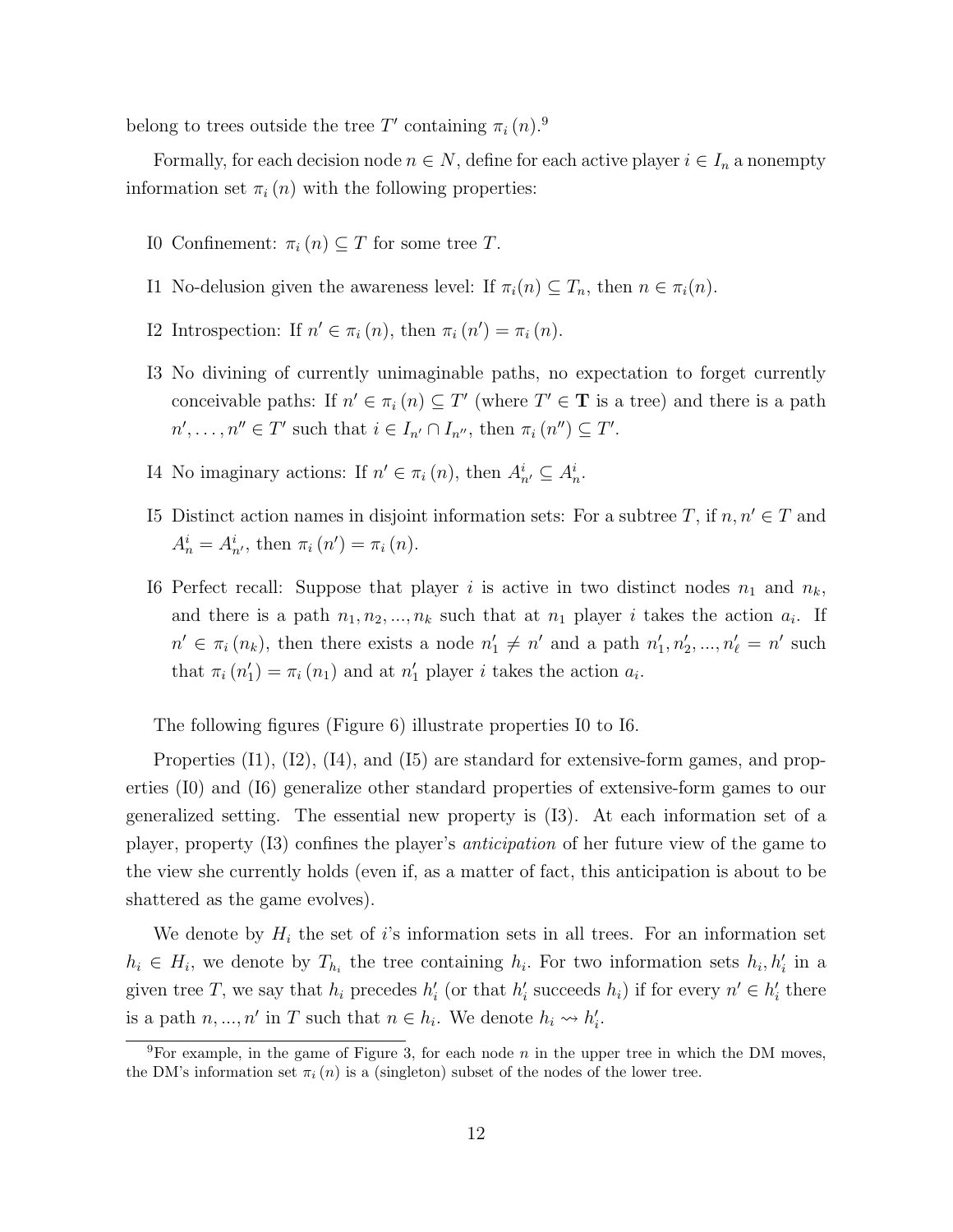belong to trees outside the tree T' containing  $\pi_i(n)$ .<sup>9</sup>

Formally, for each decision node  $n \in N$ , define for each active player  $i \in I_n$  a nonempty information set  $\pi_i(n)$  with the following properties:

- I0 Confinement:  $\pi_i(n) \subseteq T$  for some tree T.
- I1 No-delusion given the awareness level: If  $\pi_i(n) \subseteq T_n$ , then  $n \in \pi_i(n)$ .
- I2 Introspection: If  $n' \in \pi_i(n)$ , then  $\pi_i(n') = \pi_i(n)$ .
- I3 No divining of currently unimaginable paths, no expectation to forget currently conceivable paths: If  $n' \in \pi_i$  (n)  $\subseteq T'$  (where  $T' \in \mathbf{T}$  is a tree) and there is a path  $n', \ldots, n'' \in T'$  such that  $i \in I_{n'} \cap I_{n''}$ , then  $\pi_i(n'') \subseteq T'$ .
- I4 No imaginary actions: If  $n' \in \pi_i(n)$ , then  $A_{n'}^i \subseteq A_n^i$ .
- I5 Distinct action names in disjoint information sets: For a subtree T, if  $n, n' \in T$  and  $A_n^i = A_{n'}^i$ , then  $\pi_i(n') = \pi_i(n)$ .
- I6 Perfect recall: Suppose that player i is active in two distinct nodes  $n_1$  and  $n_k$ , and there is a path  $n_1, n_2, ..., n_k$  such that at  $n_1$  player i takes the action  $a_i$ . If  $n' \in \pi_i(n_k)$ , then there exists a node  $n'_1 \neq n'$  and a path  $n'_1, n'_2, ..., n'_\ell = n'$  such that  $\pi_i(n'_1) = \pi_i(n_1)$  and at  $n'_1$  player *i* takes the action  $a_i$ .

The following figures (Figure 6) illustrate properties I0 to I6.

Properties  $(11)$ ,  $(12)$ ,  $(14)$ , and  $(15)$  are standard for extensive-form games, and properties (I0) and (I6) generalize other standard properties of extensive-form games to our generalized setting. The essential new property is (I3). At each information set of a player, property (I3) confines the player's anticipation of her future view of the game to the view she currently holds (even if, as a matter of fact, this anticipation is about to be shattered as the game evolves).

We denote by  $H_i$  the set of i's information sets in all trees. For an information set  $h_i \in H_i$ , we denote by  $T_{h_i}$  the tree containing  $h_i$ . For two information sets  $h_i, h'_i$  in a given tree T, we say that  $h_i$  precedes  $h'_i$  (or that  $h'_i$  succeeds  $h_i$ ) if for every  $n' \in h'_i$  there is a path  $n, ..., n'$  in T such that  $n \in h_i$ . We denote  $h_i \leadsto h'_i$ .

<sup>&</sup>lt;sup>9</sup>For example, in the game of Figure 3, for each node n in the upper tree in which the DM moves, the DM's information set  $\pi_i(n)$  is a (singleton) subset of the nodes of the lower tree.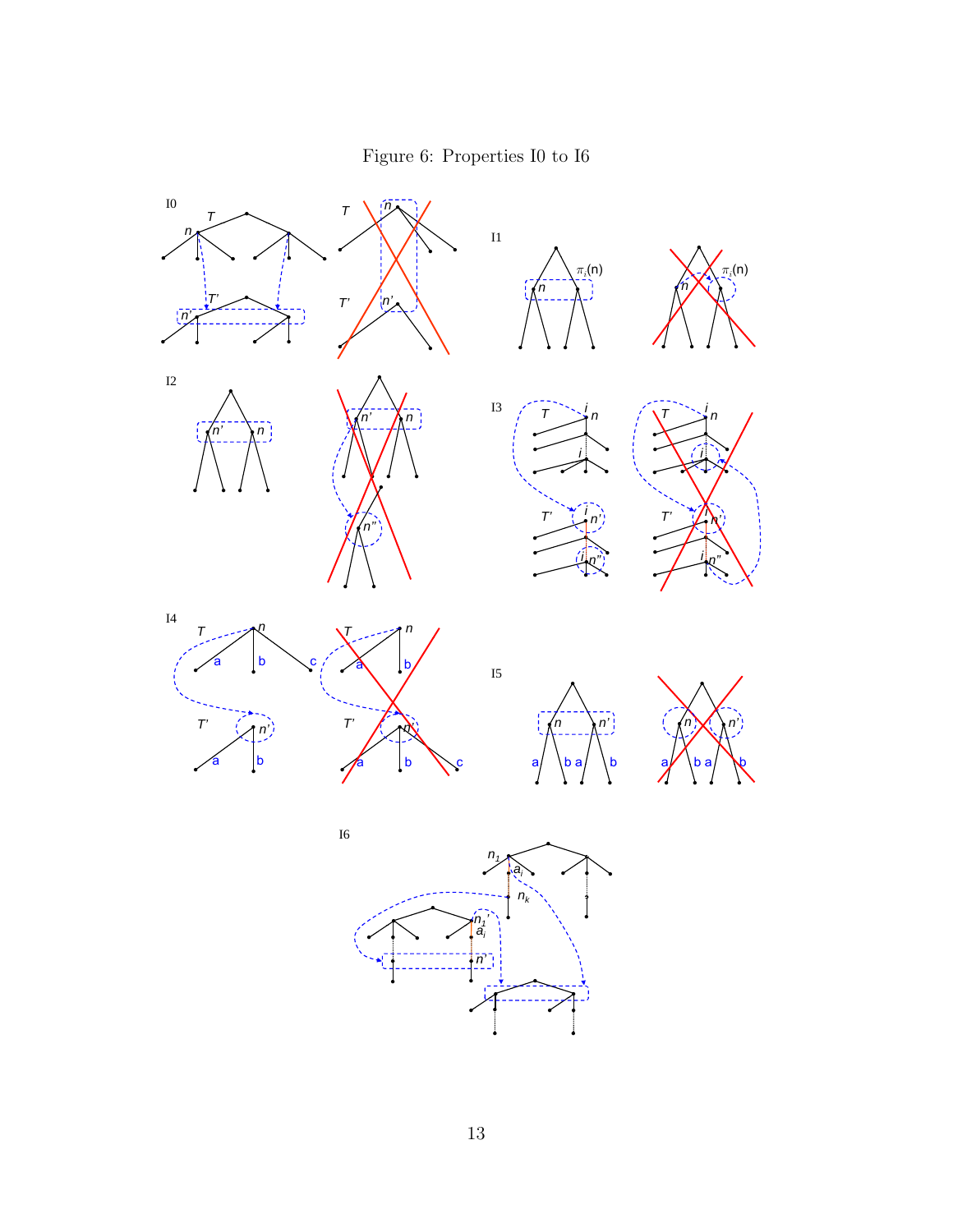Figure 6: Properties I0 to I6

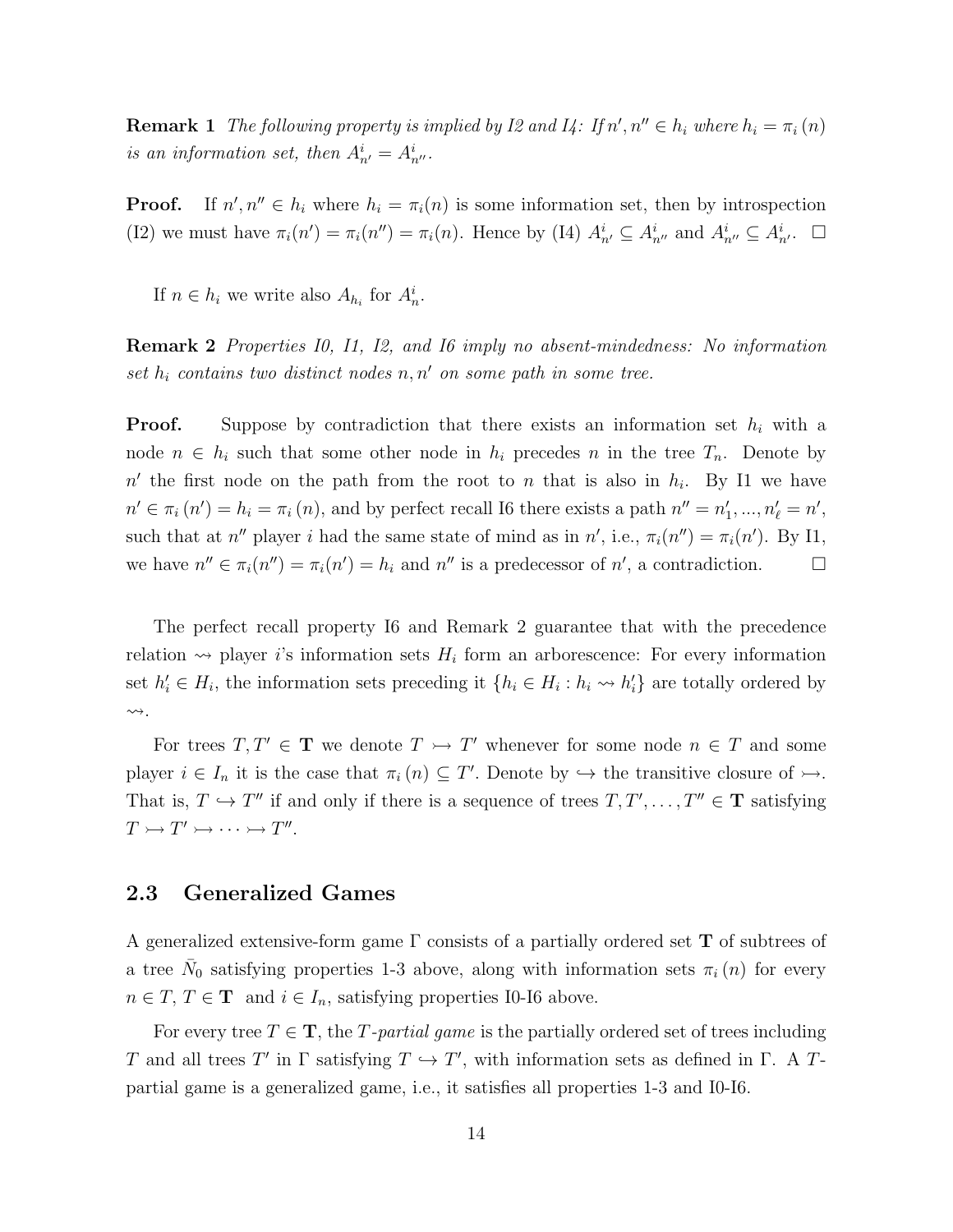**Remark 1** The following property is implied by I2 and I4: If  $n', n'' \in h_i$  where  $h_i = \pi_i(n)$ is an information set, then  $A_{n'}^i = A_{n''}^i$ .

Proof.  $\ell, n'' \in h_i$  where  $h_i = \pi_i(n)$  is some information set, then by introspection (I2) we must have  $\pi_i(n') = \pi_i(n'') = \pi_i(n)$ . Hence by (I4)  $A_{n'}^i \subseteq A_{n''}^i$  and  $A_{n''}^i \subseteq A_{n'}^i$ .  $\Box$ 

If  $n \in h_i$  we write also  $A_{h_i}$  for  $A_n^i$ .

Remark 2 Properties I0, I1, I2, and I6 imply no absent-mindedness: No information set  $h_i$  contains two distinct nodes  $n, n'$  on some path in some tree.

**Proof.** Suppose by contradiction that there exists an information set  $h_i$  with a node  $n \in h_i$  such that some other node in  $h_i$  precedes n in the tree  $T_n$ . Denote by  $n'$  the first node on the path from the root to n that is also in  $h_i$ . By I1 we have  $n' \in \pi_i(n') = h_i = \pi_i(n)$ , and by perfect recall I6 there exists a path  $n'' = n'_1, ..., n'_\ell = n'$ , such that at n'' player i had the same state of mind as in n', i.e.,  $\pi_i(n'') = \pi_i(n')$ . By I1, we have  $n'' \in \pi_i(n'') = \pi_i(n') = h_i$  and  $n''$  is a predecessor of  $n'$ , a contradiction.

The perfect recall property I6 and Remark 2 guarantee that with the precedence relation  $\rightsquigarrow$  player *i*'s information sets  $H_i$  form an arborescence: For every information set  $h'_i \in H_i$ , the information sets preceding it  $\{h_i \in H_i : h_i \leadsto h'_i\}$  are totally ordered by  $\rightsquigarrow$ .

For trees  $T, T' \in \mathbf{T}$  we denote  $T \rightarrow T'$  whenever for some node  $n \in T$  and some player  $i \in I_n$  it is the case that  $\pi_i(n) \subseteq T'$ . Denote by  $\hookrightarrow$  the transitive closure of  $\rightarrow$ . That is,  $T \hookrightarrow T''$  if and only if there is a sequence of trees  $T, T', \ldots, T'' \in \mathbf{T}$  satisfying  $T \rightarrowtail T' \rightarrowtail \cdots \rightarrowtail T''.$ 

# 2.3 Generalized Games

A generalized extensive-form game  $\Gamma$  consists of a partially ordered set **T** of subtrees of a tree  $\bar{N}_0$  satisfying properties 1-3 above, along with information sets  $\pi_i(n)$  for every  $n\in T,$   $T\in \mathbf{T}^{-}$  and  $i\in I_{n},$  satisfying properties I0-I6 above.

For every tree  $T \in \mathbf{T}$ , the T-partial game is the partially ordered set of trees including T and all trees T' in  $\Gamma$  satisfying  $T \hookrightarrow T'$ , with information sets as defined in  $\Gamma$ . A Tpartial game is a generalized game, i.e., it satisfies all properties 1-3 and I0-I6.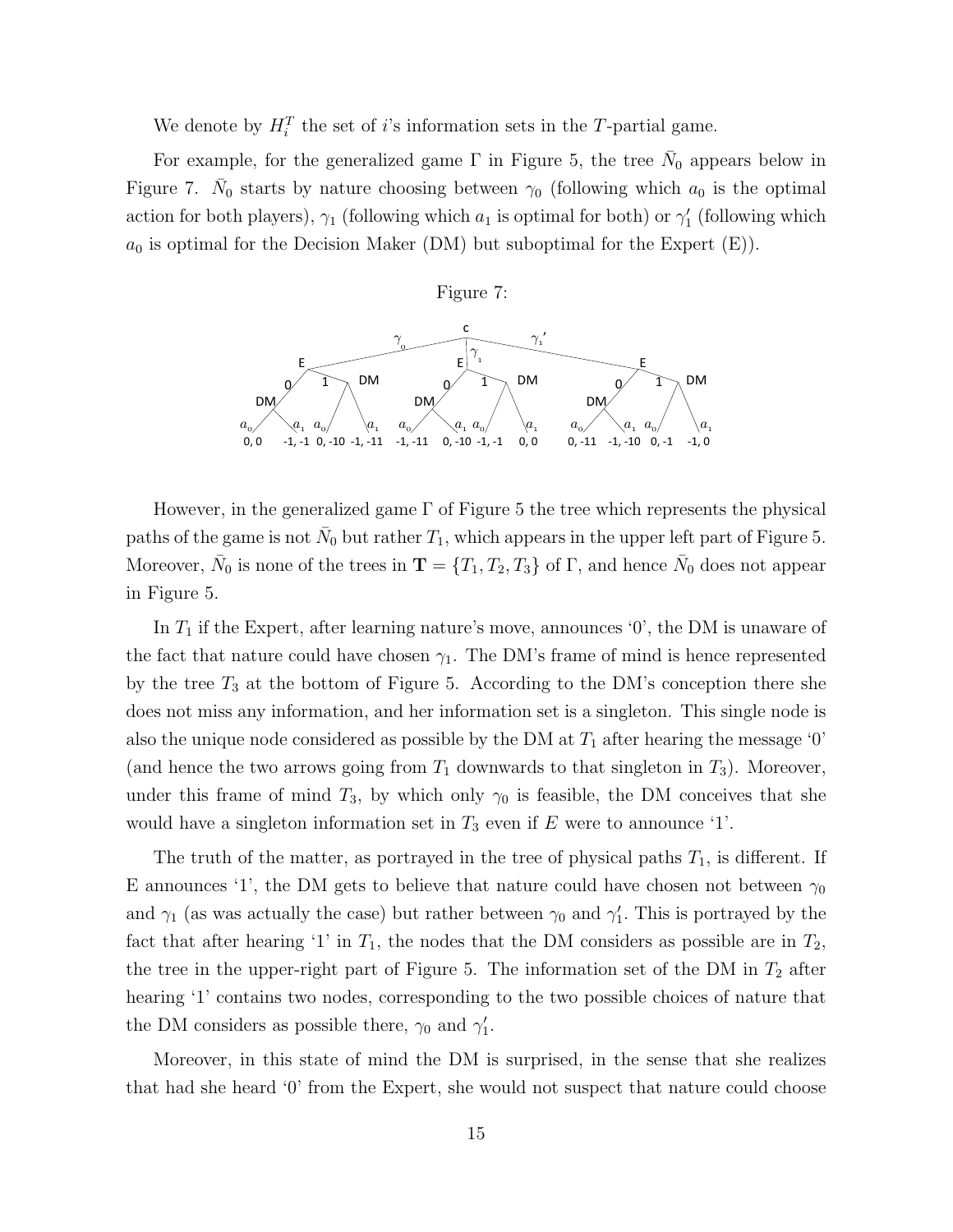We denote by  $H_i^T$  the set of *i*'s information sets in the T-partial game.

For example, for the generalized game  $\Gamma$  in Figure 5, the tree  $\bar{N}_0$  appears below in Figure 7.  $\bar{N}_0$  starts by nature choosing between  $\gamma_0$  (following which  $a_0$  is the optimal action for both players),  $\gamma_1$  (following which  $a_1$  is optimal for both) or  $\gamma'_1$  (following which  $a_0$  is optimal for the Decision Maker (DM) but suboptimal for the Expert  $(E)$ ).



paths of the game is not  $\bar{N}_0$  but rather  $T_1$ , which appears in the upper left part of Figure 5. wer,  $\bar{N}_0$  is none of the trees in  $\mathbf{T} = \{T_1, T_2, T_3\}$  of  $\Gamma$ , and hence  $\bar{N}_0$  does ver, in the generalized  $\alpha$  $\mathbf{a}$ in Figure 5.  $\sim$ <sup>4</sup> However, in the generalized game Γ of Figure 5 the tree which represents the physical Moreover,  $\bar{N}_0$  is none of the trees in  $\mathbf{T} = \{T_1, T_2, T_3\}$  of  $\Gamma$ , and hence  $\bar{N}_0$  does not appear

 $_{\rm{movo}}$  announces  $^6$ 10,0, announces  $\mu$ <sub>1</sub>  $\mu$ <sup>1</sup> and  $\mu$ <sup>1</sup> In  $T_1$  if the Expert, after learning nature's move, announces '0', the DM is unaware of the fact that nature could have chosen  $\gamma_1$ . The DM's frame of mind is hence represented by the tree  $T_3$  at the bottom of Figure 5. According to the DM's conception there she does not miss any information, and her information set is a singleton. This single node is  $\sigma$  from  $T$ , downwe (and hence the two arrows going from  $T_1$  downwards to that singleton in  $T_3$ ). Moreover, also the unique node considered as possible by the DM at  $T_1$  after hearing the message '0' under this frame of mind  $T_3$ , by which only  $\gamma_0$  is feasible, the DM conceives that she would have a singleton information set in  $T_3$  even if E were to announce '1'.

The truth of the matter, as portrayed in the tree of physical paths  $T_1$ , is different. If E announces '1', the DM gets to believe that nature could have chosen not between  $\gamma_0$ and  $\gamma_1$  (as was actually the case) but rather between  $\gamma_0$  and  $\gamma'_1$ . This is portrayed by the fact that after hearing '1' in  $T_1$ , the nodes that the DM considers as possible are in  $T_2$ , the tree in the upper-right part of Figure 5. The information set of the DM in  $T_2$  after hearing '1' contains two nodes, corresponding to the two possible choices of nature that the DM considers as possible there,  $\gamma_0$  and  $\gamma'_1$ .

Moreover, in this state of mind the DM is surprised, in the sense that she realizes that had she heard '0' from the Expert, she would not suspect that nature could choose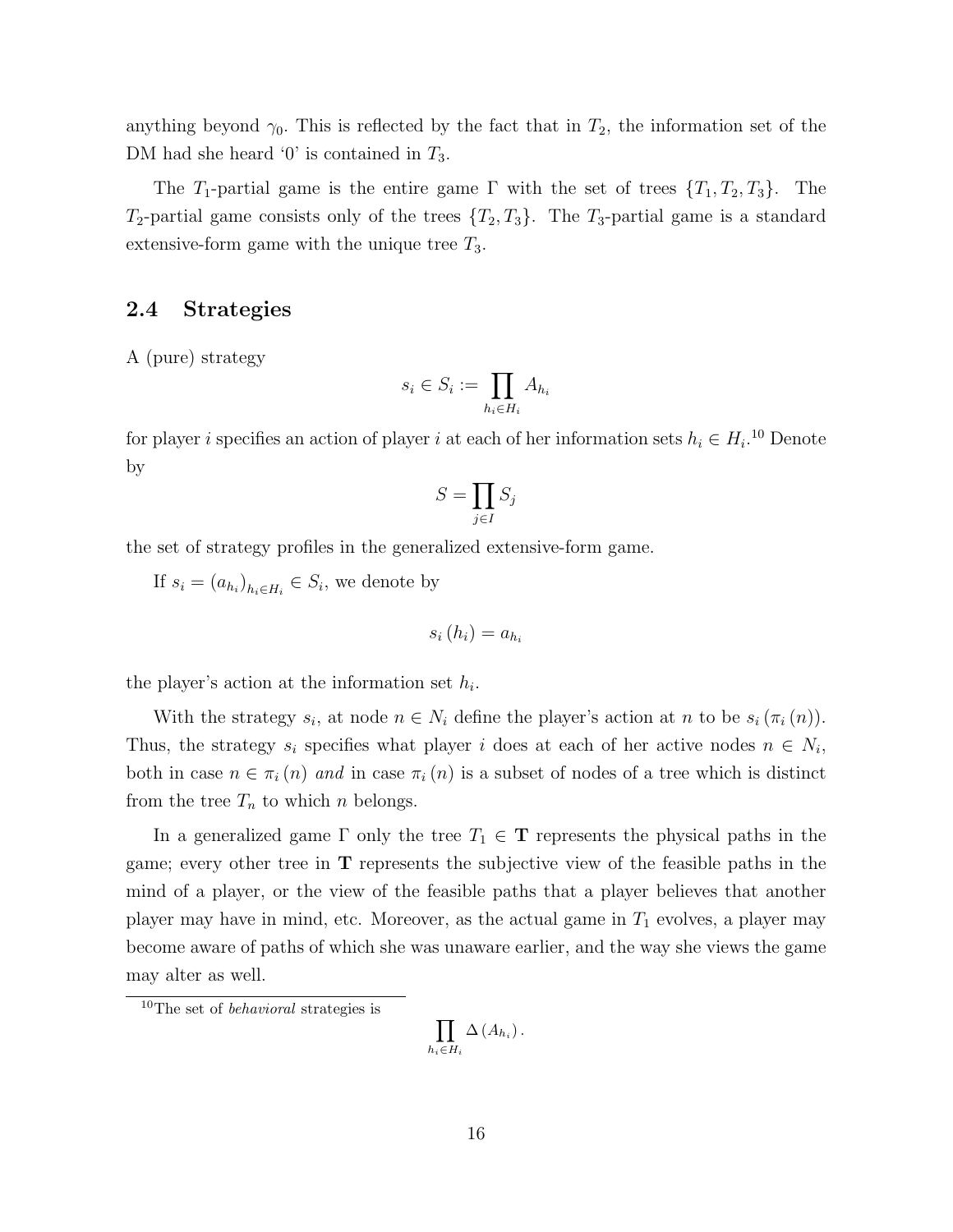anything beyond  $\gamma_0$ . This is reflected by the fact that in  $T_2$ , the information set of the DM had she heard '0' is contained in  $T_3$ .

The T<sub>1</sub>-partial game is the entire game  $\Gamma$  with the set of trees  $\{T_1, T_2, T_3\}$ . The  $T_2$ -partial game consists only of the trees  $\{T_2, T_3\}$ . The  $T_3$ -partial game is a standard extensive-form game with the unique tree  $T_3$ .

### 2.4 Strategies

A (pure) strategy

$$
s_i \in S_i := \prod_{h_i \in H_i} A_{h_i}
$$

for player i specifies an action of player i at each of her information sets  $h_i \in H_i$ <sup>10</sup> Denote by

$$
S = \prod_{j \in I} S_j
$$

the set of strategy profiles in the generalized extensive-form game.

If  $s_i = (a_{h_i})_{h_i \in H_i} \in S_i$ , we denote by

$$
s_i(h_i) = a_{h_i}
$$

the player's action at the information set  $h_i$ .

With the strategy  $s_i$ , at node  $n \in N_i$  define the player's action at n to be  $s_i(\pi_i(n))$ . Thus, the strategy  $s_i$  specifies what player i does at each of her active nodes  $n \in N_i$ , both in case  $n \in \pi_i(n)$  and in case  $\pi_i(n)$  is a subset of nodes of a tree which is distinct from the tree  $T_n$  to which n belongs.

In a generalized game  $\Gamma$  only the tree  $T_1 \in \mathbf{T}$  represents the physical paths in the game; every other tree in T represents the subjective view of the feasible paths in the mind of a player, or the view of the feasible paths that a player believes that another player may have in mind, etc. Moreover, as the actual game in  $T_1$  evolves, a player may become aware of paths of which she was unaware earlier, and the way she views the game may alter as well.

$$
\prod_{h_i\in H_i}\Delta\left(A_{h_i}\right).
$$

<sup>10</sup>The set of behavioral strategies is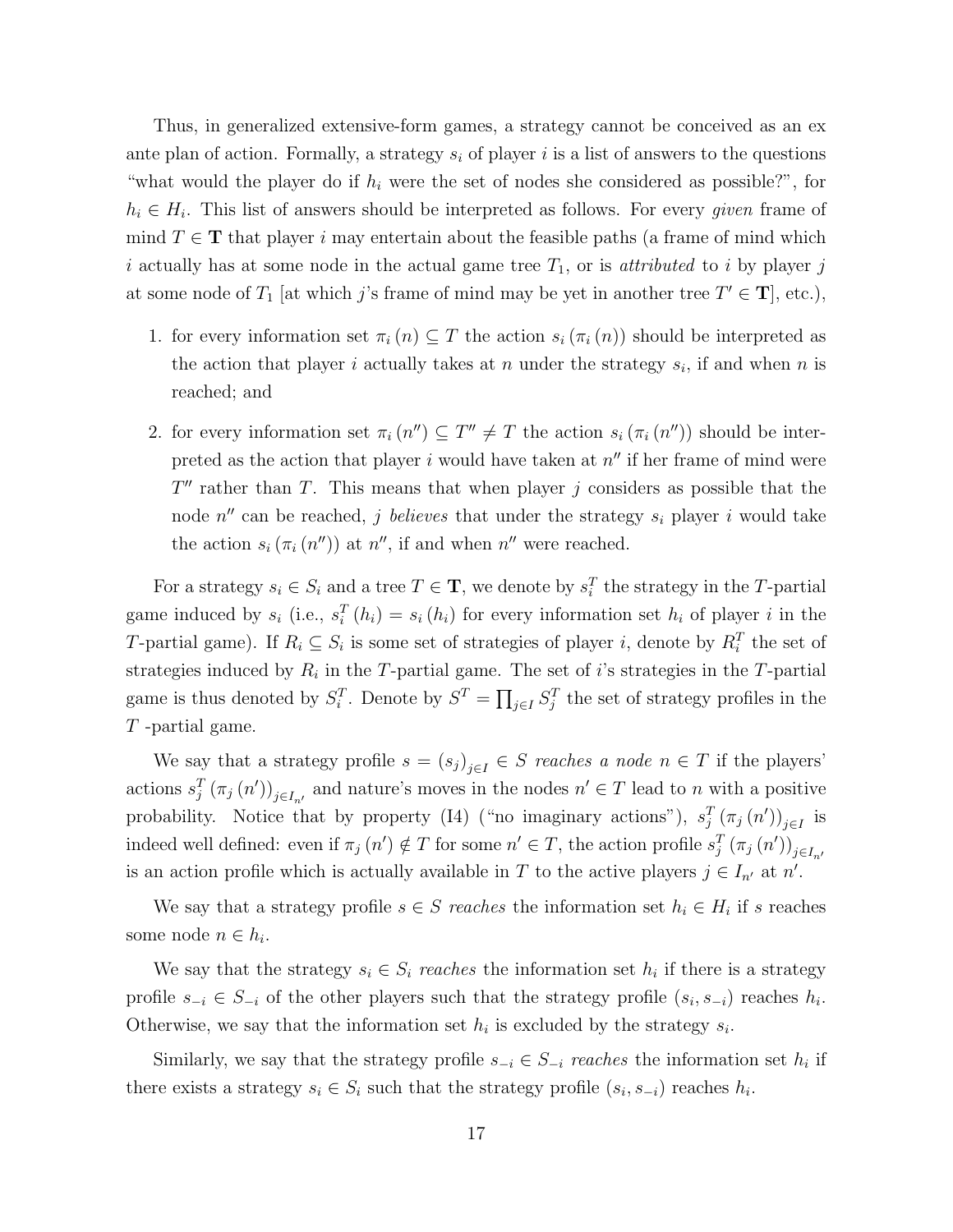Thus, in generalized extensive-form games, a strategy cannot be conceived as an ex ante plan of action. Formally, a strategy  $s_i$  of player i is a list of answers to the questions "what would the player do if  $h_i$  were the set of nodes she considered as possible?", for  $h_i \in H_i$ . This list of answers should be interpreted as follows. For every *given* frame of mind  $T \in \mathbf{T}$  that player i may entertain about the feasible paths (a frame of mind which i actually has at some node in the actual game tree  $T_1$ , or is *attributed* to i by player j at some node of  $T_1$  [at which j's frame of mind may be yet in another tree  $T' \in \mathbf{T}$ ], etc.),

- 1. for every information set  $\pi_i(n) \subseteq T$  the action  $s_i(\pi_i(n))$  should be interpreted as the action that player i actually takes at n under the strategy  $s_i$ , if and when n is reached; and
- 2. for every information set  $\pi_i(n'') \subseteq T'' \neq T$  the action  $s_i(\pi_i(n''))$  should be interpreted as the action that player i would have taken at  $n''$  if her frame of mind were  $T''$  rather than T. This means that when player j considers as possible that the node  $n''$  can be reached, j believes that under the strategy  $s_i$  player i would take the action  $s_i(\pi_i(n''))$  at  $n''$ , if and when  $n''$  were reached.

For a strategy  $s_i \in S_i$  and a tree  $T \in \mathbf{T}$ , we denote by  $s_i^T$  the strategy in the T-partial game induced by  $s_i$  (i.e.,  $s_i^T(h_i) = s_i(h_i)$  for every information set  $h_i$  of player i in the T-partial game). If  $R_i \subseteq S_i$  is some set of strategies of player i, denote by  $R_i^T$  the set of strategies induced by  $R_i$  in the T-partial game. The set of i's strategies in the T-partial game is thus denoted by  $S_i^T$ . Denote by  $S^T = \prod_{j \in I} S_j^T$  the set of strategy profiles in the T -partial game.

We say that a strategy profile  $s = (s_j)_{j \in I} \in S$  reaches a node  $n \in T$  if the players' actions  $s_j^T(\pi_j(n'))_{j\in I_{n'}}$  and nature's moves in the nodes  $n' \in T$  lead to n with a positive probability. Notice that by property (I4) ("no imaginary actions"),  $s_j^T(\pi_j(n'))_{j\in I}$  is indeed well defined: even if  $\pi_j(n') \notin T$  for some  $n' \in T$ , the action profile  $s_j^T(\pi_j(n'))_{j \in I_{n'}}$ is an action profile which is actually available in T to the active players  $j \in I_{n'}$  at n'.

We say that a strategy profile  $s \in S$  reaches the information set  $h_i \in H_i$  if s reaches some node  $n \in h_i$ .

We say that the strategy  $s_i \in S_i$  reaches the information set  $h_i$  if there is a strategy profile  $s_{-i} \in S_{-i}$  of the other players such that the strategy profile  $(s_i, s_{-i})$  reaches  $h_i$ . Otherwise, we say that the information set  $h_i$  is excluded by the strategy  $s_i$ .

Similarly, we say that the strategy profile  $s_{-i} \in S_{-i}$  reaches the information set  $h_i$  if there exists a strategy  $s_i \in S_i$  such that the strategy profile  $(s_i, s_{-i})$  reaches  $h_i$ .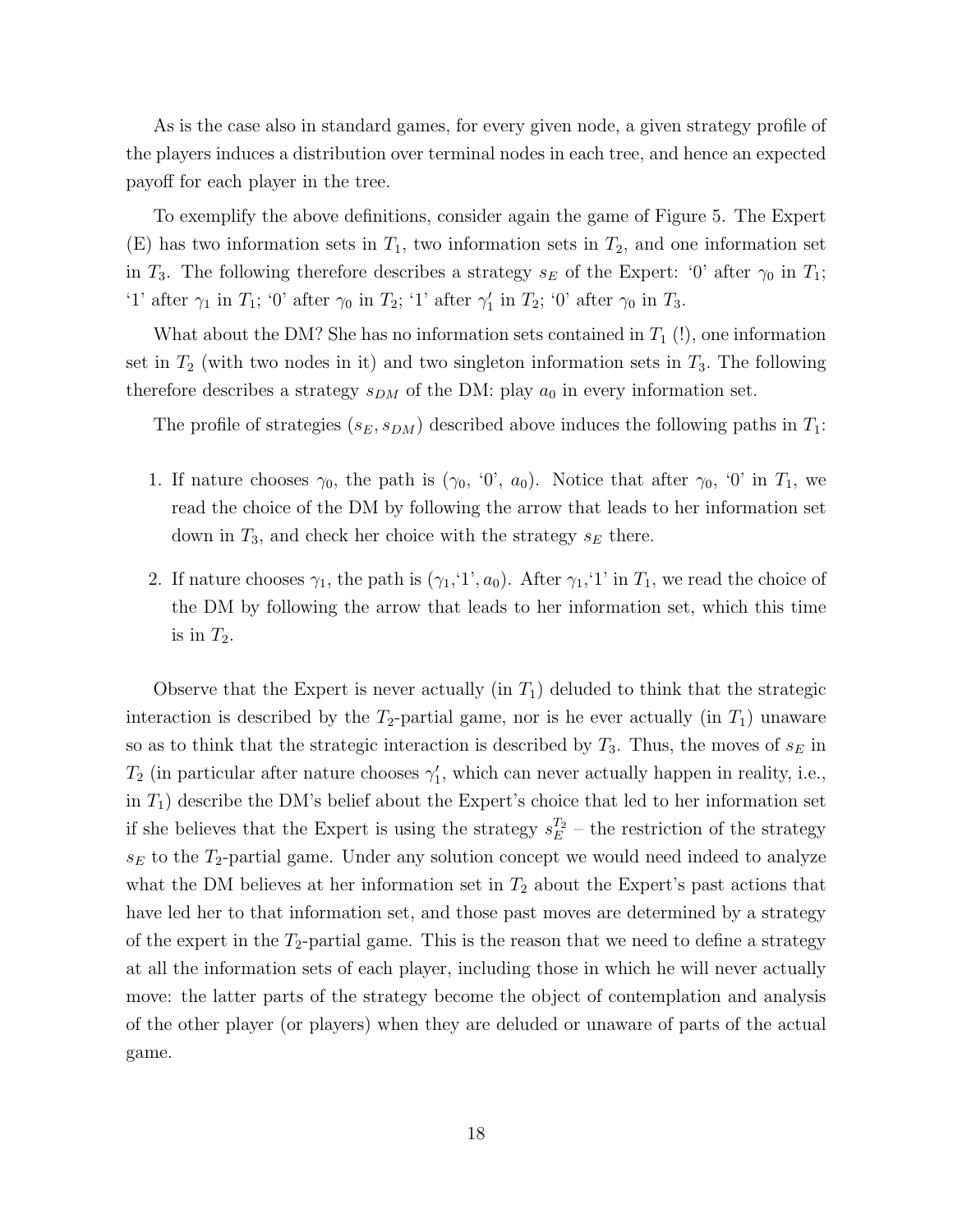As is the case also in standard games, for every given node, a given strategy profile of the players induces a distribution over terminal nodes in each tree, and hence an expected payoff for each player in the tree.

To exemplify the above definitions, consider again the game of Figure 5. The Expert (E) has two information sets in  $T_1$ , two information sets in  $T_2$ , and one information set in  $T_3$ . The following therefore describes a strategy  $s_E$  of the Expert: '0' after  $\gamma_0$  in  $T_1$ ; '1' after  $\gamma_1$  in  $T_1$ ; '0' after  $\gamma_0$  in  $T_2$ ; '1' after  $\gamma_1$  in  $T_2$ ; '0' after  $\gamma_0$  in  $T_3$ .

What about the DM? She has no information sets contained in  $T_1$  (!), one information set in  $T_2$  (with two nodes in it) and two singleton information sets in  $T_3$ . The following therefore describes a strategy  $s_{DM}$  of the DM: play  $a_0$  in every information set.

The profile of strategies  $(s_E, s_{DM})$  described above induces the following paths in  $T_1$ :

- 1. If nature chooses  $\gamma_0$ , the path is  $(\gamma_0, '0', a_0)$ . Notice that after  $\gamma_0$ , '0' in  $T_1$ , we read the choice of the DM by following the arrow that leads to her information set down in  $T_3$ , and check her choice with the strategy  $s_E$  there.
- 2. If nature chooses  $\gamma_1$ , the path is  $(\gamma_1, 1', a_0)$ . After  $\gamma_1, 1'$  in  $T_1$ , we read the choice of the DM by following the arrow that leads to her information set, which this time is in  $T_2$ .

Observe that the Expert is never actually (in  $T_1$ ) deluded to think that the strategic interaction is described by the  $T_2$ -partial game, nor is he ever actually (in  $T_1$ ) unaware so as to think that the strategic interaction is described by  $T_3$ . Thus, the moves of  $s_E$  in  $T_2$  (in particular after nature chooses  $\gamma'_1$ , which can never actually happen in reality, i.e., in  $T_1$ ) describe the DM's belief about the Expert's choice that led to her information set if she believes that the Expert is using the strategy  $s_E^{T_2}$  – the restriction of the strategy  $s_E$  to the  $T_2$ -partial game. Under any solution concept we would need indeed to analyze what the DM believes at her information set in  $T_2$  about the Expert's past actions that have led her to that information set, and those past moves are determined by a strategy of the expert in the  $T_2$ -partial game. This is the reason that we need to define a strategy at all the information sets of each player, including those in which he will never actually move: the latter parts of the strategy become the object of contemplation and analysis of the other player (or players) when they are deluded or unaware of parts of the actual game.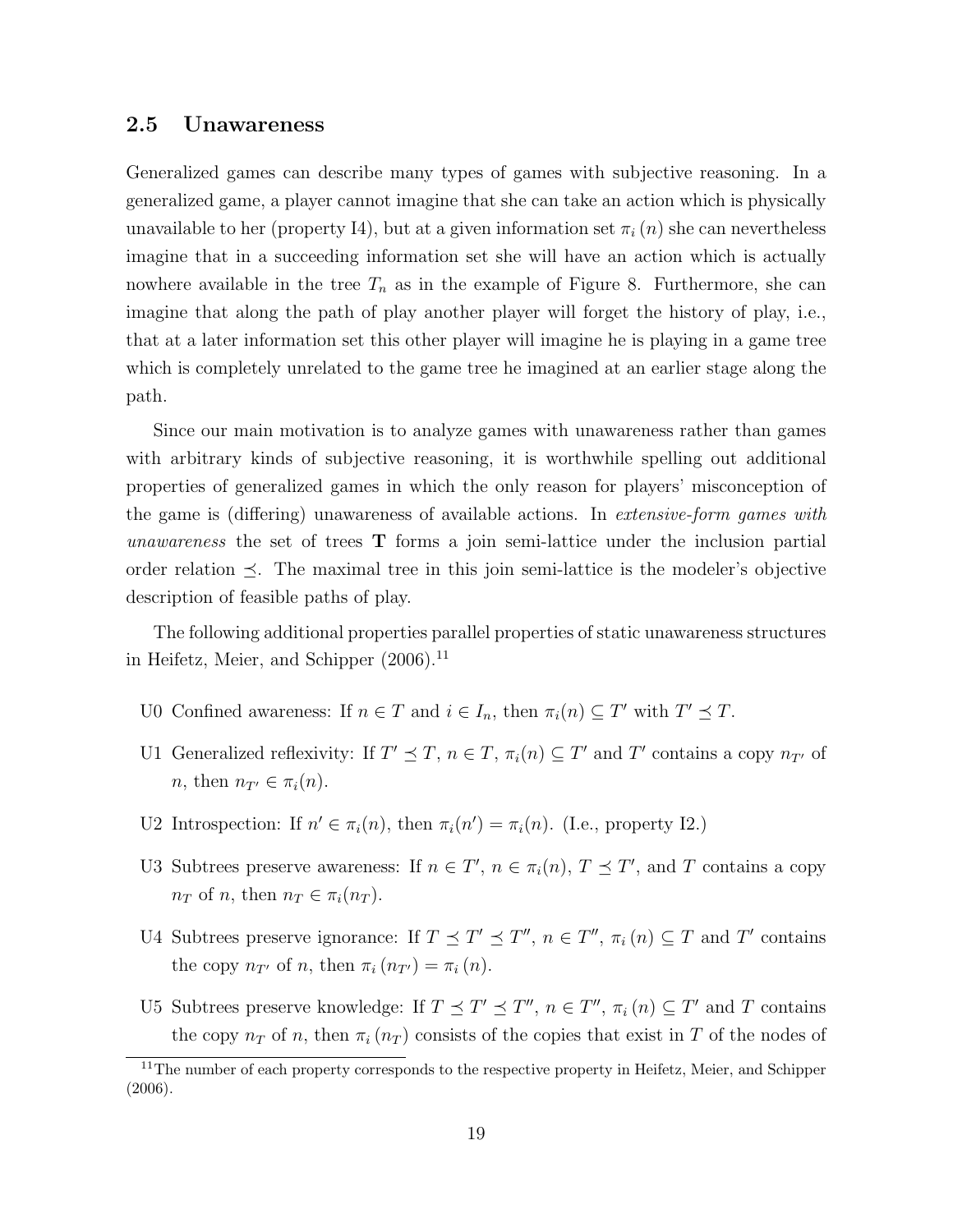### 2.5 Unawareness

Generalized games can describe many types of games with subjective reasoning. In a generalized game, a player cannot imagine that she can take an action which is physically unavailable to her (property I4), but at a given information set  $\pi_i(n)$  she can nevertheless imagine that in a succeeding information set she will have an action which is actually nowhere available in the tree  $T_n$  as in the example of Figure 8. Furthermore, she can imagine that along the path of play another player will forget the history of play, i.e., that at a later information set this other player will imagine he is playing in a game tree which is completely unrelated to the game tree he imagined at an earlier stage along the path.

Since our main motivation is to analyze games with unawareness rather than games with arbitrary kinds of subjective reasoning, it is worthwhile spelling out additional properties of generalized games in which the only reason for players' misconception of the game is (differing) unawareness of available actions. In extensive-form games with unawareness the set of trees T forms a join semi-lattice under the inclusion partial order relation  $\prec$ . The maximal tree in this join semi-lattice is the modeler's objective description of feasible paths of play.

The following additional properties parallel properties of static unawareness structures in Heifetz, Meier, and Schipper  $(2006).$ <sup>11</sup>

- U0 Confined awareness: If  $n \in T$  and  $i \in I_n$ , then  $\pi_i(n) \subseteq T'$  with  $T' \preceq T$ .
- U1 Generalized reflexivity: If  $T' \preceq T$ ,  $n \in T$ ,  $\pi_i(n) \subseteq T'$  and  $T'$  contains a copy  $n_{T'}$  of *n*, then  $n_{T'} \in \pi_i(n)$ .
- U2 Introspection: If  $n' \in \pi_i(n)$ , then  $\pi_i(n') = \pi_i(n)$ . (I.e., property I2.)
- U3 Subtrees preserve awareness: If  $n \in T'$ ,  $n \in \pi_i(n)$ ,  $T \preceq T'$ , and T contains a copy  $n_T$  of n, then  $n_T \in \pi_i(n_T)$ .
- U4 Subtrees preserve ignorance: If  $T \preceq T' \preceq T''$ ,  $n \in T''$ ,  $\pi_i(n) \subseteq T$  and T' contains the copy  $n_{T'}$  of n, then  $\pi_i(n_{T'}) = \pi_i(n)$ .
- U5 Subtrees preserve knowledge: If  $T \preceq T' \preceq T''$ ,  $n \in T''$ ,  $\pi_i(n) \subseteq T'$  and T contains the copy  $n_T$  of n, then  $\pi_i(n_T)$  consists of the copies that exist in T of the nodes of

<sup>&</sup>lt;sup>11</sup>The number of each property corresponds to the respective property in Heifetz, Meier, and Schipper (2006).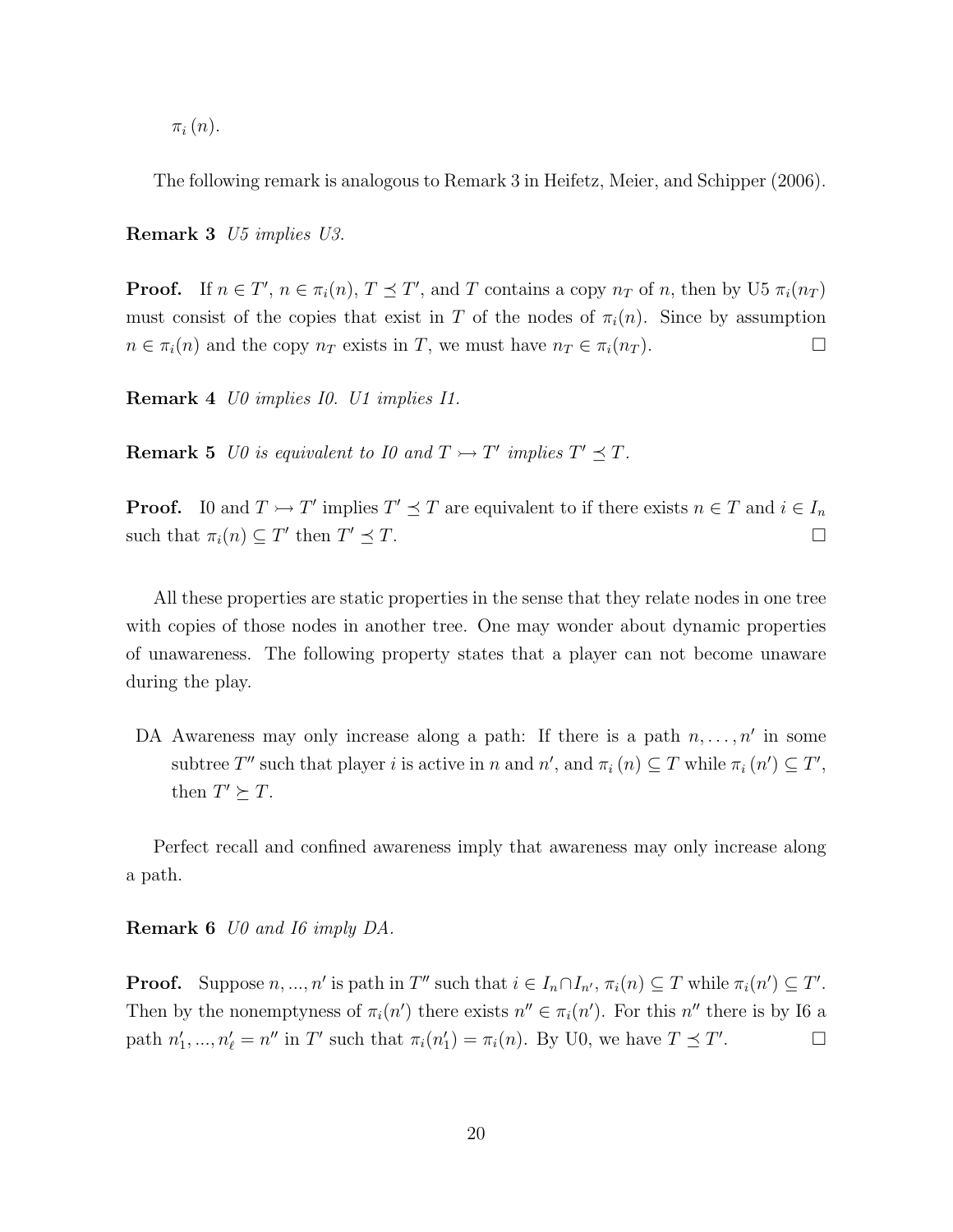$\pi_i(n)$ .

The following remark is analogous to Remark 3 in Heifetz, Meier, and Schipper (2006).

Remark 3 U5 implies U3.

**Proof.** If  $n \in T'$ ,  $n \in \pi_i(n)$ ,  $T \preceq T'$ , and T contains a copy  $n_T$  of n, then by U5  $\pi_i(n_T)$ must consist of the copies that exist in T of the nodes of  $\pi_i(n)$ . Since by assumption  $n \in \pi_i(n)$  and the copy  $n_T$  exists in T, we must have  $n_T \in \pi_i(n_T)$ .

Remark 4 U0 implies I0. U1 implies I1.

**Remark 5** U0 is equivalent to 10 and  $T \rightarrow T'$  implies  $T' \preceq T$ .

**Proof.** IO and  $T \rightarrow T'$  implies  $T' \preceq T$  are equivalent to if there exists  $n \in T$  and  $i \in I_n$ such that  $\pi_i(n) \subseteq T'$  then T  $\prime \preceq T$ .

All these properties are static properties in the sense that they relate nodes in one tree with copies of those nodes in another tree. One may wonder about dynamic properties of unawareness. The following property states that a player can not become unaware during the play.

DA Awareness may only increase along a path: If there is a path  $n, \ldots, n'$  in some subtree T'' such that player i is active in n and  $n'$ , and  $\pi_i(n) \subseteq T$  while  $\pi_i(n') \subseteq T'$ , then  $T' \succeq T$ .

Perfect recall and confined awareness imply that awareness may only increase along a path.

Remark 6 U0 and I6 imply DA.

**Proof.** Suppose  $n, ..., n'$  is path in T'' such that  $i \in I_n \cap I_{n'}$ ,  $\pi_i(n) \subseteq T$  while  $\pi_i(n') \subseteq T'$ . Then by the nonemptyness of  $\pi_i(n')$  there exists  $n'' \in \pi_i(n')$ . For this  $n''$  there is by I6 a path  $n'_1, ..., n'_\ell = n''$  in T' such that  $\pi_i(n'_1) = \pi_i(n)$ . By U0, we have  $T \preceq T'$  $\Box$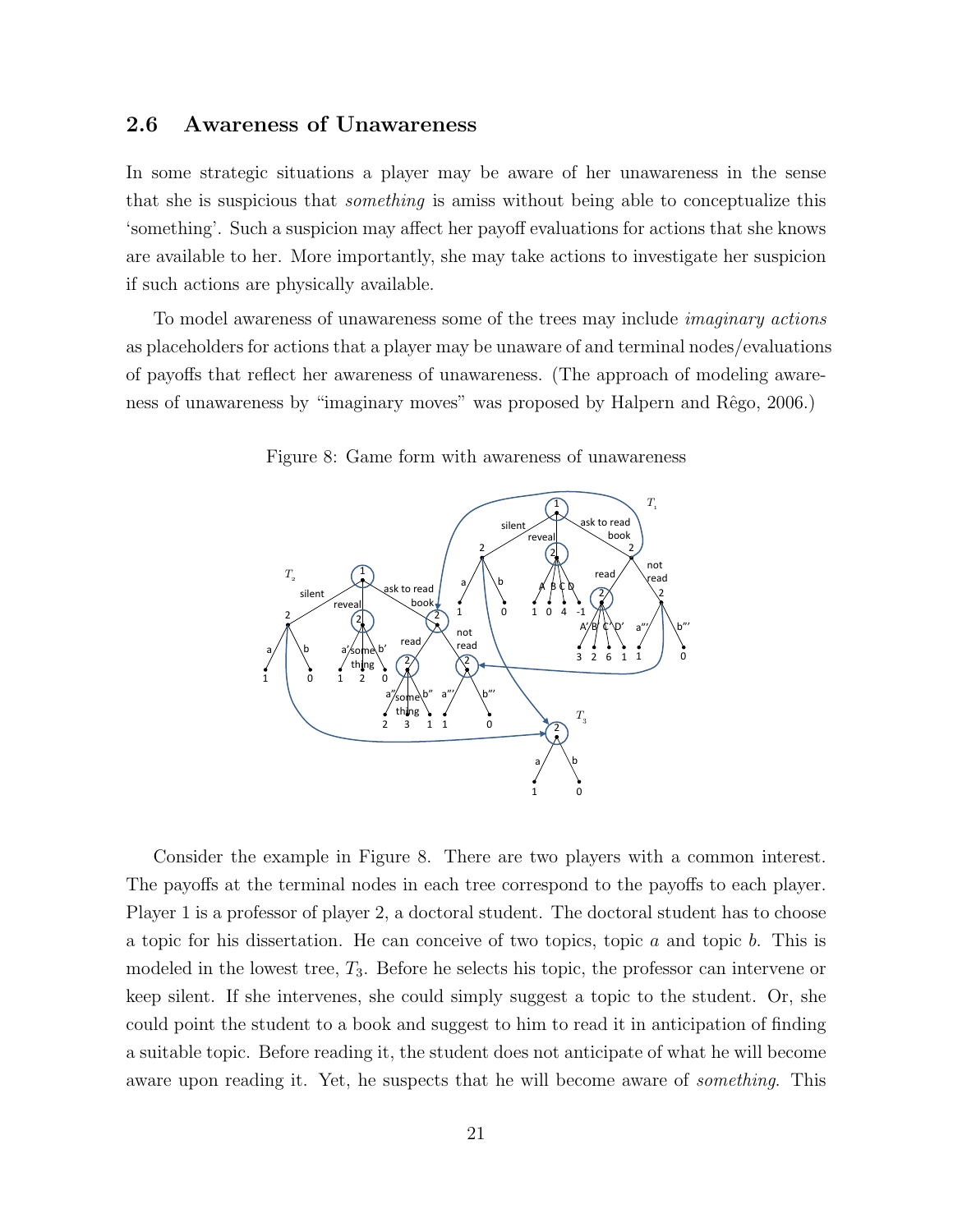### 2.6 Awareness of Unawareness

In some strategic situations a player may be aware of her unawareness in the sense that she is suspicious that *something* is amiss without being able to conceptualize this 'something'. Such a suspicion may affect her payoff evaluations for actions that she knows are available to her. More importantly, she may take actions to investigate her suspicion if such actions are physically available.

To model awareness of unawareness some of the trees may include imaginary actions as placeholders for actions that a player may be unaware of and terminal nodes/evaluations of payoffs that reflect her awareness of unawareness. (The approach of modeling awareness of unawareness by "imaginary moves" was proposed by Halpern and Rêgo, 2006.)



Figure 8: Game form with awareness of unawareness

Consider the example in Figure 8. There are two players with a common interest. The payoffs at the terminal nodes in each tree correspond to the payoffs to each player. Player 1 is a professor of player 2, a doctoral student. The doctoral student has to choose a topic for his dissertation. He can conceive of two topics, topic  $a$  and topic  $b$ . This is modeled in the lowest tree,  $T_3$ . Before he selects his topic, the professor can intervene or keep silent. If she intervenes, she could simply suggest a topic to the student. Or, she could point the student to a book and suggest to him to read it in anticipation of finding a suitable topic. Before reading it, the student does not anticipate of what he will become aware upon reading it. Yet, he suspects that he will become aware of *something*. This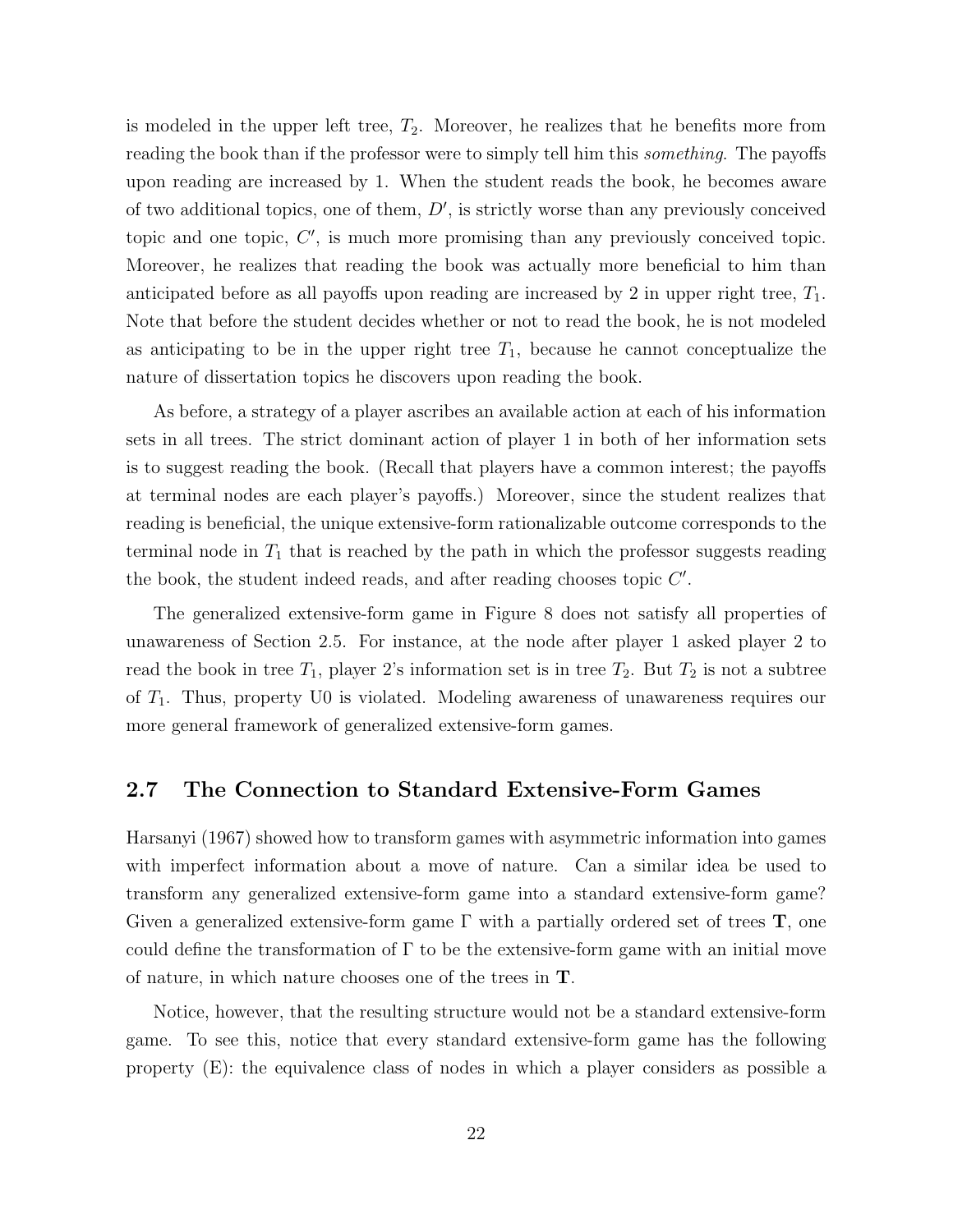is modeled in the upper left tree,  $T_2$ . Moreover, he realizes that he benefits more from reading the book than if the professor were to simply tell him this *something*. The payoffs upon reading are increased by 1. When the student reads the book, he becomes aware of two additional topics, one of them,  $D'$ , is strictly worse than any previously conceived topic and one topic,  $C'$ , is much more promising than any previously conceived topic. Moreover, he realizes that reading the book was actually more beneficial to him than anticipated before as all payoffs upon reading are increased by 2 in upper right tree,  $T_1$ . Note that before the student decides whether or not to read the book, he is not modeled as anticipating to be in the upper right tree  $T_1$ , because he cannot conceptualize the nature of dissertation topics he discovers upon reading the book.

As before, a strategy of a player ascribes an available action at each of his information sets in all trees. The strict dominant action of player 1 in both of her information sets is to suggest reading the book. (Recall that players have a common interest; the payoffs at terminal nodes are each player's payoffs.) Moreover, since the student realizes that reading is beneficial, the unique extensive-form rationalizable outcome corresponds to the terminal node in  $T_1$  that is reached by the path in which the professor suggests reading the book, the student indeed reads, and after reading chooses topic  $C'$ .

The generalized extensive-form game in Figure 8 does not satisfy all properties of unawareness of Section 2.5. For instance, at the node after player 1 asked player 2 to read the book in tree  $T_1$ , player 2's information set is in tree  $T_2$ . But  $T_2$  is not a subtree of  $T_1$ . Thus, property U0 is violated. Modeling awareness of unawareness requires our more general framework of generalized extensive-form games.

# 2.7 The Connection to Standard Extensive-Form Games

Harsanyi (1967) showed how to transform games with asymmetric information into games with imperfect information about a move of nature. Can a similar idea be used to transform any generalized extensive-form game into a standard extensive-form game? Given a generalized extensive-form game  $\Gamma$  with a partially ordered set of trees  $\mathbf{T}$ , one could define the transformation of  $\Gamma$  to be the extensive-form game with an initial move of nature, in which nature chooses one of the trees in T.

Notice, however, that the resulting structure would not be a standard extensive-form game. To see this, notice that every standard extensive-form game has the following property (E): the equivalence class of nodes in which a player considers as possible a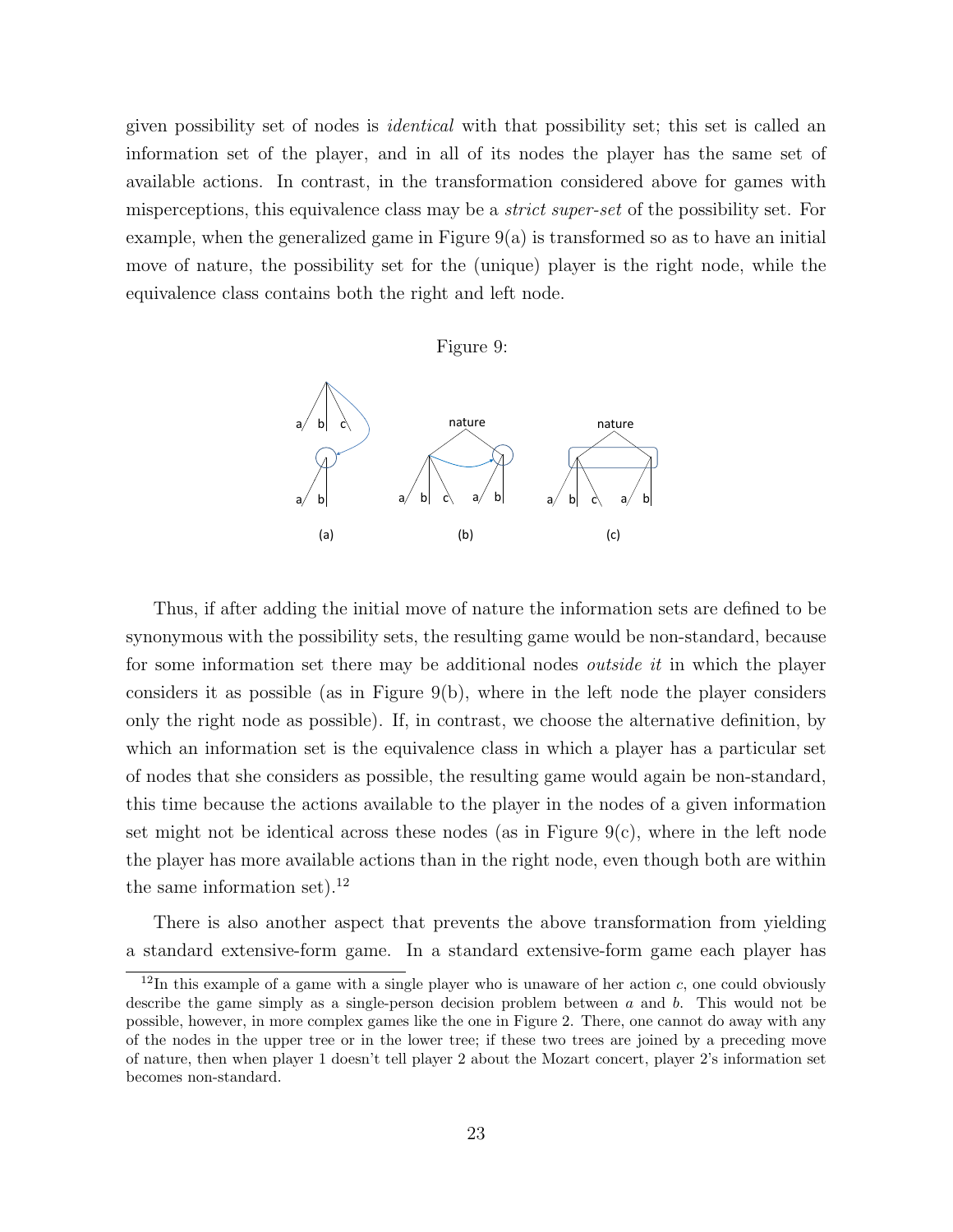given possibility set of nodes is identical with that possibility set; this set is called an information set of the player, and in all of its nodes the player has the same set of available actions. In contrast, in the transformation considered above for games with misperceptions, this equivalence class may be a *strict super-set* of the possibility set. For example, when the generalized game in Figure  $9(a)$  is transformed so as to have an initial move of nature, the possibility set for the (unique) player is the right node, while the equivalence class contains both the right and left node.





Thus, if after adding the initial move of nature the information sets are defined to be synonymous with the possibility sets, the resulting game would be non-standard, because for some information set there may be additional nodes *outside it* in which the player considers it as possible (as in Figure  $9(b)$ , where in the left node the player considers only the right node as possible). If, in contrast, we choose the alternative definition, by which an information set is the equivalence class in which a player has a particular set of nodes that she considers as possible, the resulting game would again be non-standard, this time because the actions available to the player in the nodes of a given information set might not be identical across these nodes (as in Figure  $9(c)$ , where in the left node the player has more available actions than in the right node, even though both are within the same information set). $^{12}$ 

There is also another aspect that prevents the above transformation from yielding a standard extensive-form game. In a standard extensive-form game each player has

<sup>&</sup>lt;sup>12</sup>In this example of a game with a single player who is unaware of her action c, one could obviously describe the game simply as a single-person decision problem between  $a$  and  $b$ . This would not be possible, however, in more complex games like the one in Figure 2. There, one cannot do away with any of the nodes in the upper tree or in the lower tree; if these two trees are joined by a preceding move of nature, then when player 1 doesn't tell player 2 about the Mozart concert, player 2's information set becomes non-standard.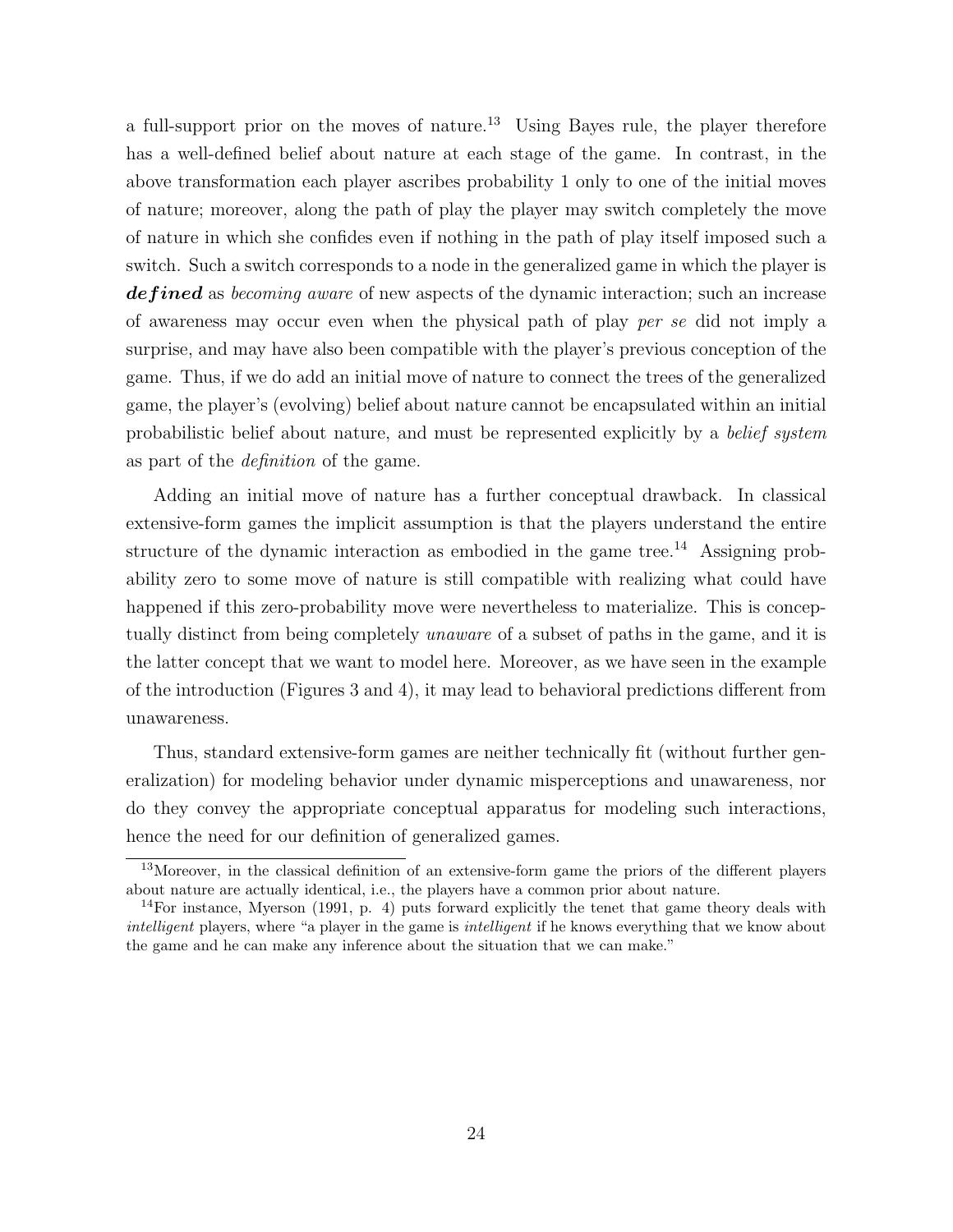a full-support prior on the moves of nature.<sup>13</sup> Using Bayes rule, the player therefore has a well-defined belief about nature at each stage of the game. In contrast, in the above transformation each player ascribes probability 1 only to one of the initial moves of nature; moreover, along the path of play the player may switch completely the move of nature in which she confides even if nothing in the path of play itself imposed such a switch. Such a switch corresponds to a node in the generalized game in which the player is defined as becoming aware of new aspects of the dynamic interaction; such an increase of awareness may occur even when the physical path of play per se did not imply a surprise, and may have also been compatible with the player's previous conception of the game. Thus, if we do add an initial move of nature to connect the trees of the generalized game, the player's (evolving) belief about nature cannot be encapsulated within an initial probabilistic belief about nature, and must be represented explicitly by a belief system as part of the definition of the game.

Adding an initial move of nature has a further conceptual drawback. In classical extensive-form games the implicit assumption is that the players understand the entire structure of the dynamic interaction as embodied in the game tree.<sup>14</sup> Assigning probability zero to some move of nature is still compatible with realizing what could have happened if this zero-probability move were nevertheless to materialize. This is conceptually distinct from being completely unaware of a subset of paths in the game, and it is the latter concept that we want to model here. Moreover, as we have seen in the example of the introduction (Figures 3 and 4), it may lead to behavioral predictions different from unawareness.

Thus, standard extensive-form games are neither technically fit (without further generalization) for modeling behavior under dynamic misperceptions and unawareness, nor do they convey the appropriate conceptual apparatus for modeling such interactions, hence the need for our definition of generalized games.

<sup>&</sup>lt;sup>13</sup>Moreover, in the classical definition of an extensive-form game the priors of the different players about nature are actually identical, i.e., the players have a common prior about nature.

<sup>14</sup>For instance, Myerson (1991, p. 4) puts forward explicitly the tenet that game theory deals with intelligent players, where "a player in the game is *intelligent* if he knows everything that we know about the game and he can make any inference about the situation that we can make."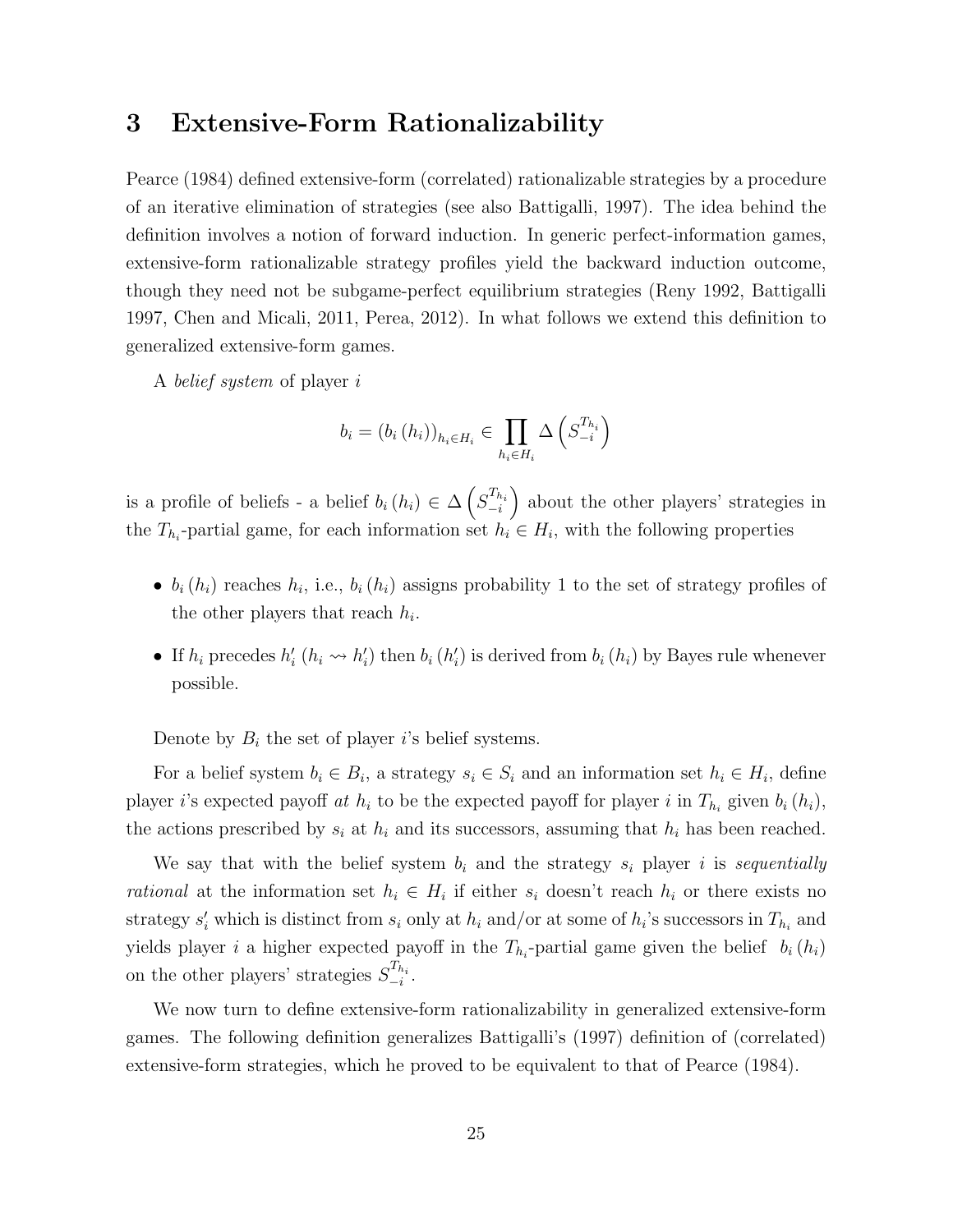# 3 Extensive-Form Rationalizability

Pearce (1984) defined extensive-form (correlated) rationalizable strategies by a procedure of an iterative elimination of strategies (see also Battigalli, 1997). The idea behind the definition involves a notion of forward induction. In generic perfect-information games, extensive-form rationalizable strategy profiles yield the backward induction outcome, though they need not be subgame-perfect equilibrium strategies (Reny 1992, Battigalli 1997, Chen and Micali, 2011, Perea, 2012). In what follows we extend this definition to generalized extensive-form games.

A belief system of player i

$$
b_i = (b_i (h_i))_{h_i \in H_i} \in \prod_{h_i \in H_i} \Delta \left( S_{-i}^{T_{h_i}} \right)
$$

is a profile of beliefs - a belief  $b_i(h_i) \in \Delta\left(S_{-i}^{T_{h_i}}\right)$  about the other players' strategies in the  $T_{h_i}$ -partial game, for each information set  $h_i \in H_i$ , with the following properties

- $b_i(h_i)$  reaches  $h_i$ , i.e.,  $b_i(h_i)$  assigns probability 1 to the set of strategy profiles of the other players that reach  $h_i$ .
- If  $h_i$  precedes  $h'_i$  ( $h_i \leadsto h'_i$ ) then  $b_i$  ( $h'_i$ ) is derived from  $b_i$  ( $h_i$ ) by Bayes rule whenever possible.

Denote by  $B_i$  the set of player i's belief systems.

For a belief system  $b_i \in B_i$ , a strategy  $s_i \in S_i$  and an information set  $h_i \in H_i$ , define player *i*'s expected payoff at  $h_i$  to be the expected payoff for player *i* in  $T_{h_i}$  given  $b_i(h_i)$ , the actions prescribed by  $s_i$  at  $h_i$  and its successors, assuming that  $h_i$  has been reached.

We say that with the belief system  $b_i$  and the strategy  $s_i$  player i is sequentially *rational* at the information set  $h_i \in H_i$  if either  $s_i$  doesn't reach  $h_i$  or there exists no strategy  $s'_i$  which is distinct from  $s_i$  only at  $h_i$  and/or at some of  $h_i$ 's successors in  $T_{h_i}$  and yields player i a higher expected payoff in the  $T_{h_i}$ -partial game given the belief  $b_i(h_i)$ on the other players' strategies  $S_{-i}^{T_{h_i}}$ .

We now turn to define extensive-form rationalizability in generalized extensive-form games. The following definition generalizes Battigalli's (1997) definition of (correlated) extensive-form strategies, which he proved to be equivalent to that of Pearce (1984).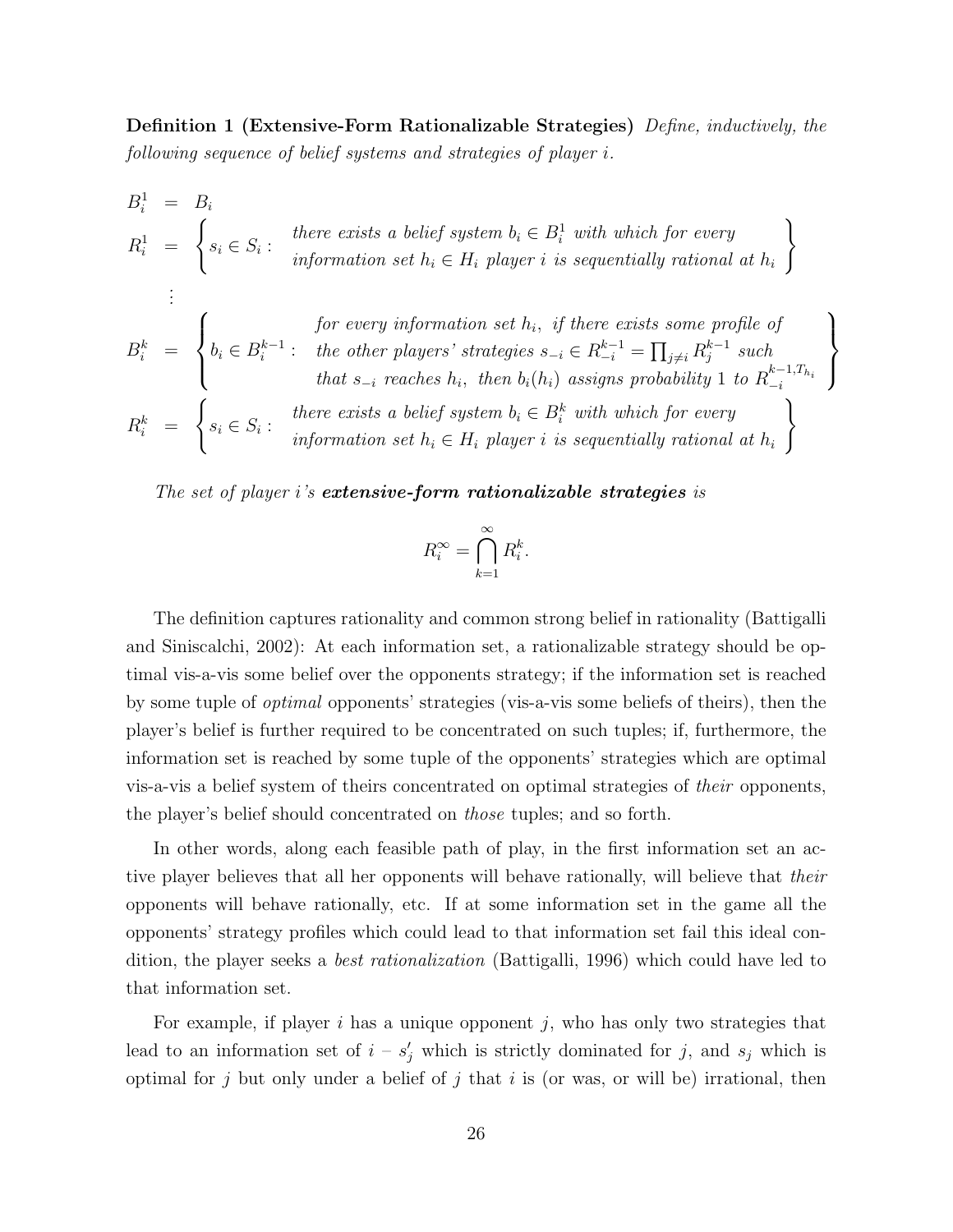Definition 1 (Extensive-Form Rationalizable Strategies) Define, inductively, the following sequence of belief systems and strategies of player i.

$$
B_i^1 = B_i
$$
\n
$$
R_i^1 = \begin{cases} s_i \in S_i : & there \text{ exists a belief system } b_i \in B_i^1 \text{ with which for every} \\ & \text{ information set } h_i \in H_i \text{ player } i \text{ is sequentially rational at } h_i \end{cases}
$$
\n
$$
\vdots
$$
\n
$$
B_i^k = \begin{cases} \n\text{for every information set } h_i, \text{ if there exists some profile of} \\ \nb_i \in B_i^{k-1} : & \text{the other players'} strategies } s_{-i} \in R_{-i}^{k-1} = \prod_{j \neq i} R_j^{k-1} \text{ such} \\ & \text{that } s_{-i} \text{ reaches } h_i, \text{ then } b_i(h_i) \text{ assigns probability } 1 \text{ to } R_{-i}^{k-1, T_{h_i}} \end{cases}
$$
\n
$$
R_i^k = \begin{cases} s_i \in S_i : & \text{there exists a belief system } b_i \in B_i^k \text{ with which for every} \\ \text{information set } h_i \in H_i \text{ player } i \text{ is sequentially rational at } h_i \end{cases}
$$

The set of player i's **extensive-form rationalizable strategies** is

$$
R_i^{\infty} = \bigcap_{k=1}^{\infty} R_i^k.
$$

The definition captures rationality and common strong belief in rationality (Battigalli and Siniscalchi, 2002): At each information set, a rationalizable strategy should be optimal vis-a-vis some belief over the opponents strategy; if the information set is reached by some tuple of *optimal* opponents' strategies (vis-a-vis some beliefs of theirs), then the player's belief is further required to be concentrated on such tuples; if, furthermore, the information set is reached by some tuple of the opponents' strategies which are optimal vis-a-vis a belief system of theirs concentrated on optimal strategies of their opponents, the player's belief should concentrated on those tuples; and so forth.

In other words, along each feasible path of play, in the first information set an active player believes that all her opponents will behave rationally, will believe that their opponents will behave rationally, etc. If at some information set in the game all the opponents' strategy profiles which could lead to that information set fail this ideal condition, the player seeks a best rationalization (Battigalli, 1996) which could have led to that information set.

For example, if player i has a unique opponent j, who has only two strategies that lead to an information set of  $i - s'_j$  which is strictly dominated for j, and  $s_j$  which is optimal for j but only under a belief of j that i is (or was, or will be) irrational, then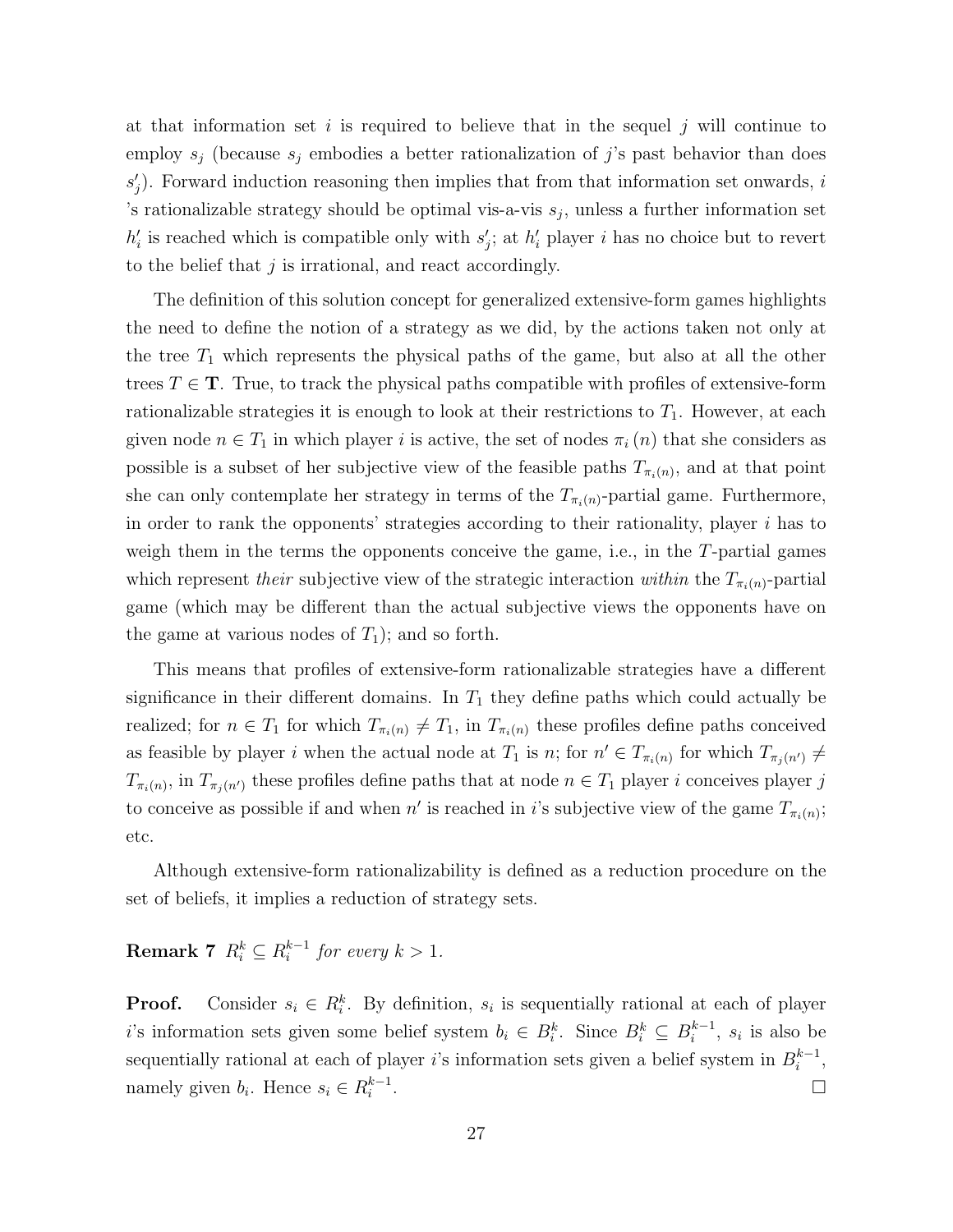at that information set i is required to believe that in the sequel j will continue to employ  $s_i$  (because  $s_i$  embodies a better rationalization of j's past behavior than does  $s'_{j}$ ). Forward induction reasoning then implies that from that information set onwards, i 's rationalizable strategy should be optimal vis-a-vis  $s_j$ , unless a further information set  $h'_i$  is reached which is compatible only with  $s'_j$ ; at  $h'_i$  player i has no choice but to revert to the belief that  $j$  is irrational, and react accordingly.

The definition of this solution concept for generalized extensive-form games highlights the need to define the notion of a strategy as we did, by the actions taken not only at the tree  $T_1$  which represents the physical paths of the game, but also at all the other trees  $T \in \mathbf{T}$ . True, to track the physical paths compatible with profiles of extensive-form rationalizable strategies it is enough to look at their restrictions to  $T_1$ . However, at each given node  $n \in T_1$  in which player i is active, the set of nodes  $\pi_i(n)$  that she considers as possible is a subset of her subjective view of the feasible paths  $T_{\pi_i(n)}$ , and at that point she can only contemplate her strategy in terms of the  $T_{\pi_i(n)}$ -partial game. Furthermore, in order to rank the opponents' strategies according to their rationality, player  $i$  has to weigh them in the terms the opponents conceive the game, i.e., in the T-partial games which represent their subjective view of the strategic interaction within the  $T_{\pi_i(n)}$ -partial game (which may be different than the actual subjective views the opponents have on the game at various nodes of  $T_1$ ; and so forth.

This means that profiles of extensive-form rationalizable strategies have a different significance in their different domains. In  $T_1$  they define paths which could actually be realized; for  $n \in T_1$  for which  $T_{\pi_i(n)} \neq T_1$ , in  $T_{\pi_i(n)}$  these profiles define paths conceived as feasible by player i when the actual node at  $T_1$  is n; for  $n' \in T_{\pi_i(n)}$  for which  $T_{\pi_j(n')} \neq$  $T_{\pi_i(n)}$ , in  $T_{\pi_j(n')}$  these profiles define paths that at node  $n \in T_1$  player i conceives player j to conceive as possible if and when  $n'$  is reached in i's subjective view of the game  $T_{\pi_i(n)}$ ; etc.

Although extensive-form rationalizability is defined as a reduction procedure on the set of beliefs, it implies a reduction of strategy sets.

 ${\rm \bf Remark\;7}\;\;R_i^k\subseteq R_i^{k-1}$  $i^{k-1}$  for every  $k > 1$ .

**Proof.** Consider  $s_i \in R_i^k$ . By definition,  $s_i$  is sequentially rational at each of player i's information sets given some belief system  $b_i \in B_i^k$ . Since  $B_i^k \subseteq B_i^{k-1}$  $i^{k-1}$ ,  $s_i$  is also be sequentially rational at each of player i's information sets given a belief system in  $B_i^{k-1}$  $i^{k-1},$ namely given  $b_i$ . Hence  $s_i \in R_i^{k-1}$ i . В последните поставите на селото на селото на селото на селото на селото на селото на селото на селото на се<br>Селото на селото на селото на селото на селото на селото на селото на селото на селото на селото на селото на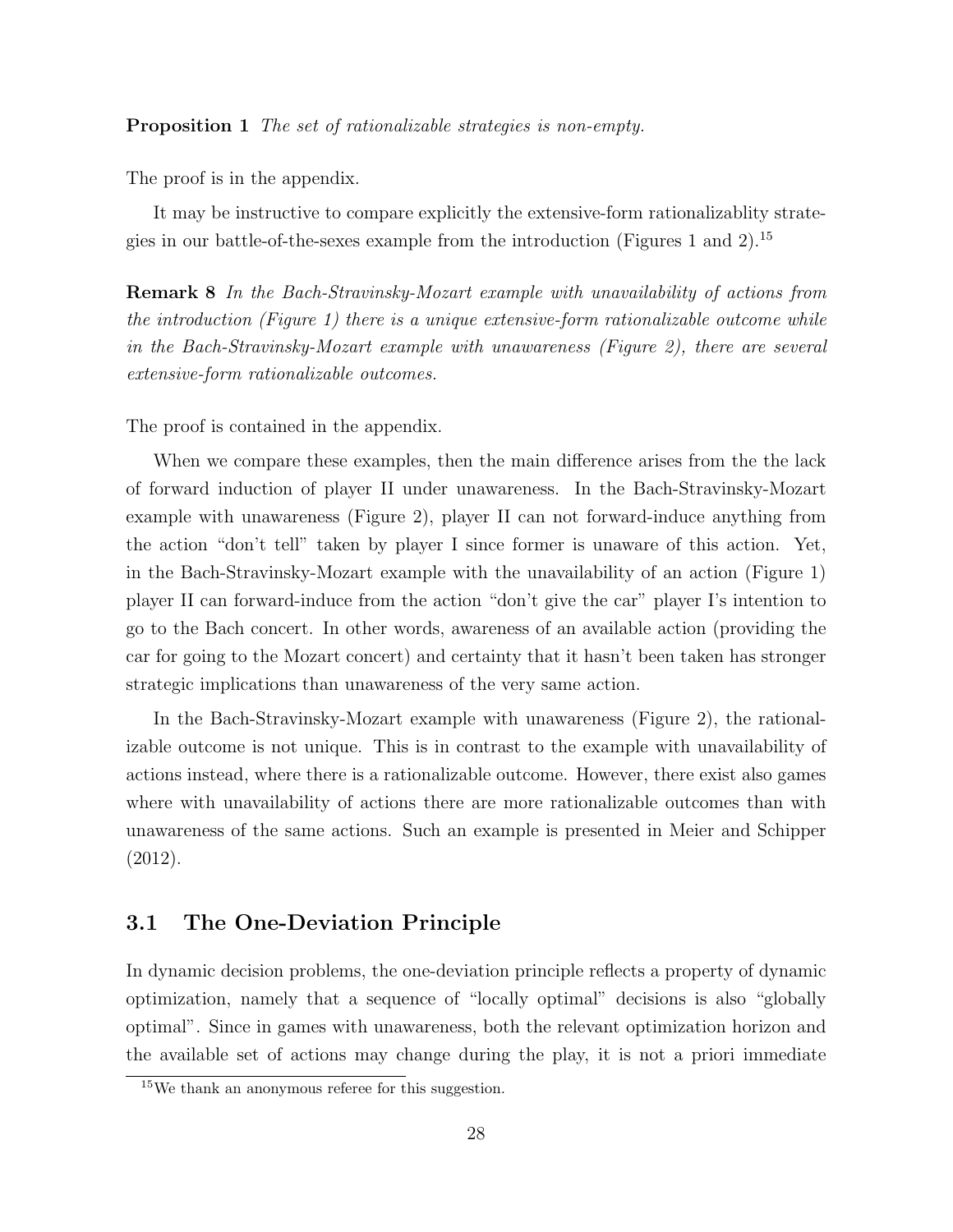Proposition 1 The set of rationalizable strategies is non-empty.

The proof is in the appendix.

It may be instructive to compare explicitly the extensive-form rationalizablity strategies in our battle-of-the-sexes example from the introduction (Figures 1 and 2).<sup>15</sup>

Remark 8 In the Bach-Stravinsky-Mozart example with unavailability of actions from the introduction (Figure 1) there is a unique extensive-form rationalizable outcome while in the Bach-Stravinsky-Mozart example with unawareness (Figure 2), there are several extensive-form rationalizable outcomes.

The proof is contained in the appendix.

When we compare these examples, then the main difference arises from the the lack of forward induction of player II under unawareness. In the Bach-Stravinsky-Mozart example with unawareness (Figure 2), player II can not forward-induce anything from the action "don't tell" taken by player I since former is unaware of this action. Yet, in the Bach-Stravinsky-Mozart example with the unavailability of an action (Figure 1) player II can forward-induce from the action "don't give the car" player I's intention to go to the Bach concert. In other words, awareness of an available action (providing the car for going to the Mozart concert) and certainty that it hasn't been taken has stronger strategic implications than unawareness of the very same action.

In the Bach-Stravinsky-Mozart example with unawareness (Figure 2), the rationalizable outcome is not unique. This is in contrast to the example with unavailability of actions instead, where there is a rationalizable outcome. However, there exist also games where with unavailability of actions there are more rationalizable outcomes than with unawareness of the same actions. Such an example is presented in Meier and Schipper (2012).

# 3.1 The One-Deviation Principle

In dynamic decision problems, the one-deviation principle reflects a property of dynamic optimization, namely that a sequence of "locally optimal" decisions is also "globally optimal". Since in games with unawareness, both the relevant optimization horizon and the available set of actions may change during the play, it is not a priori immediate

<sup>15</sup>We thank an anonymous referee for this suggestion.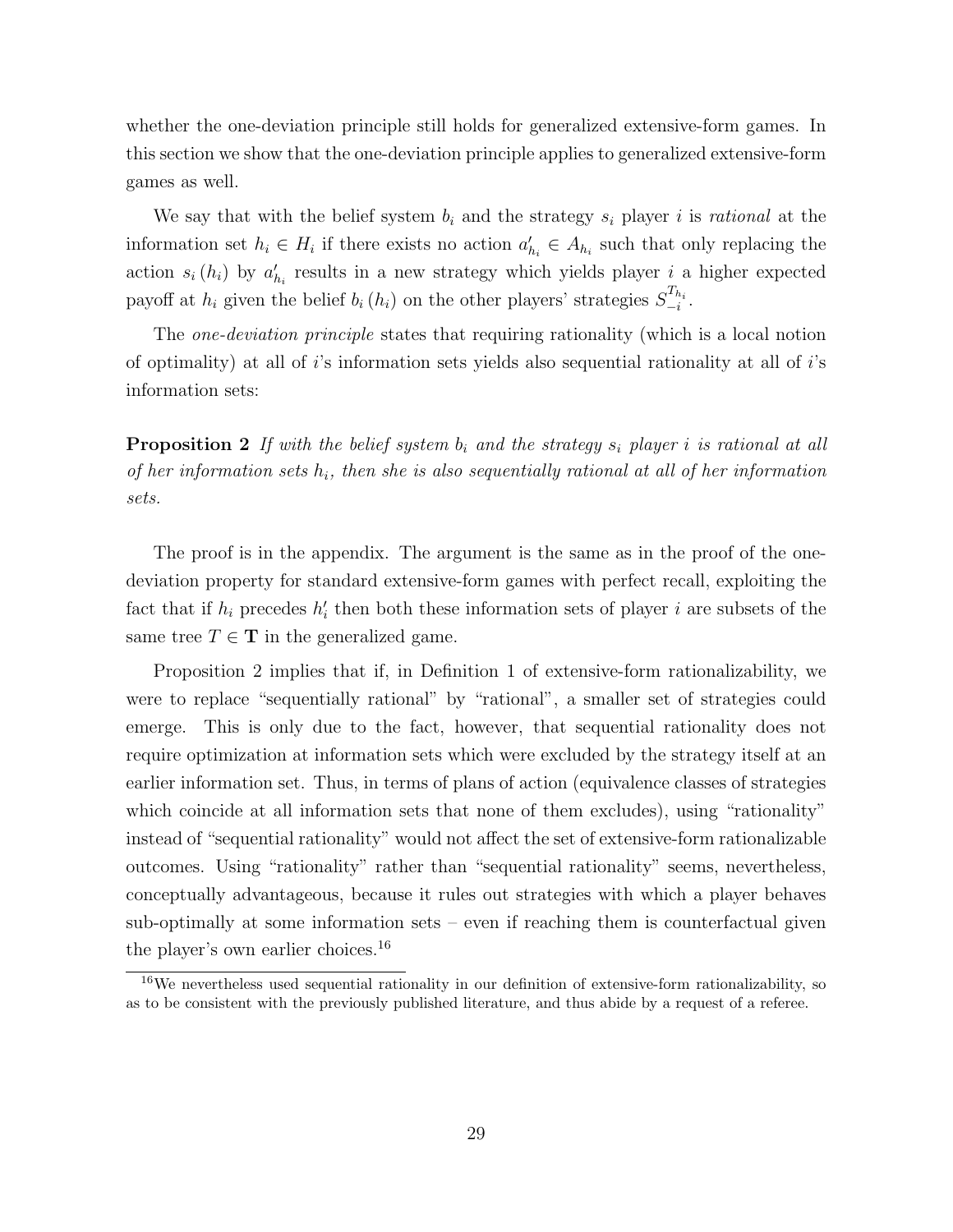whether the one-deviation principle still holds for generalized extensive-form games. In this section we show that the one-deviation principle applies to generalized extensive-form games as well.

We say that with the belief system  $b_i$  and the strategy  $s_i$  player i is rational at the information set  $h_i \in H_i$  if there exists no action  $a'_{h_i} \in A_{h_i}$  such that only replacing the action  $s_i(h_i)$  by  $a'_{h_i}$  results in a new strategy which yields player i a higher expected payoff at  $h_i$  given the belief  $b_i(h_i)$  on the other players' strategies  $S_{-i}^{T_{h_i}}$ .

The *one-deviation principle* states that requiring rationality (which is a local notion of optimality) at all of  $i$ 's information sets yields also sequential rationality at all of  $i$ 's information sets:

**Proposition 2** If with the belief system  $b_i$  and the strategy  $s_i$  player i is rational at all of her information sets  $h_i$ , then she is also sequentially rational at all of her information sets.

The proof is in the appendix. The argument is the same as in the proof of the onedeviation property for standard extensive-form games with perfect recall, exploiting the fact that if  $h_i$  precedes  $h'_i$  then both these information sets of player i are subsets of the same tree  $T \in \mathbf{T}$  in the generalized game.

Proposition 2 implies that if, in Definition 1 of extensive-form rationalizability, we were to replace "sequentially rational" by "rational", a smaller set of strategies could emerge. This is only due to the fact, however, that sequential rationality does not require optimization at information sets which were excluded by the strategy itself at an earlier information set. Thus, in terms of plans of action (equivalence classes of strategies which coincide at all information sets that none of them excludes), using "rationality" instead of "sequential rationality" would not affect the set of extensive-form rationalizable outcomes. Using "rationality" rather than "sequential rationality" seems, nevertheless, conceptually advantageous, because it rules out strategies with which a player behaves sub-optimally at some information sets – even if reaching them is counterfactual given the player's own earlier choices.<sup>16</sup>

<sup>&</sup>lt;sup>16</sup>We nevertheless used sequential rationality in our definition of extensive-form rationalizability, so as to be consistent with the previously published literature, and thus abide by a request of a referee.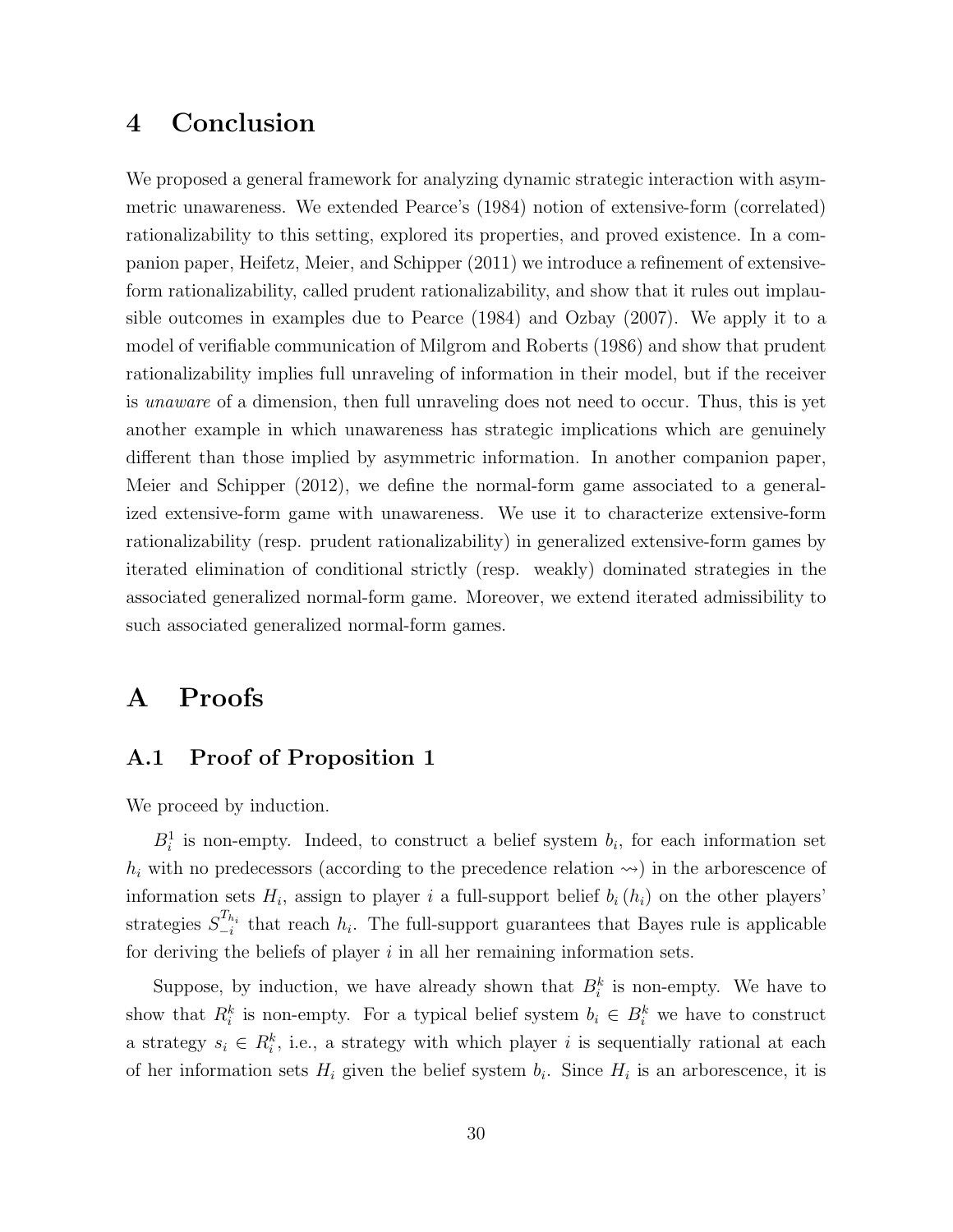# 4 Conclusion

We proposed a general framework for analyzing dynamic strategic interaction with asymmetric unawareness. We extended Pearce's (1984) notion of extensive-form (correlated) rationalizability to this setting, explored its properties, and proved existence. In a companion paper, Heifetz, Meier, and Schipper (2011) we introduce a refinement of extensiveform rationalizability, called prudent rationalizability, and show that it rules out implausible outcomes in examples due to Pearce (1984) and Ozbay (2007). We apply it to a model of verifiable communication of Milgrom and Roberts (1986) and show that prudent rationalizability implies full unraveling of information in their model, but if the receiver is unaware of a dimension, then full unraveling does not need to occur. Thus, this is yet another example in which unawareness has strategic implications which are genuinely different than those implied by asymmetric information. In another companion paper, Meier and Schipper (2012), we define the normal-form game associated to a generalized extensive-form game with unawareness. We use it to characterize extensive-form rationalizability (resp. prudent rationalizability) in generalized extensive-form games by iterated elimination of conditional strictly (resp. weakly) dominated strategies in the associated generalized normal-form game. Moreover, we extend iterated admissibility to such associated generalized normal-form games.

# A Proofs

# A.1 Proof of Proposition 1

We proceed by induction.

 $B_i^1$  is non-empty. Indeed, to construct a belief system  $b_i$ , for each information set  $h_i$  with no predecessors (according to the precedence relation  $\leadsto$ ) in the arborescence of information sets  $H_i$ , assign to player i a full-support belief  $b_i(h_i)$  on the other players' strategies  $S_{-i}^{T_{h_i}}$  that reach  $h_i$ . The full-support guarantees that Bayes rule is applicable for deriving the beliefs of player  $i$  in all her remaining information sets.

Suppose, by induction, we have already shown that  $B_i^k$  is non-empty. We have to show that  $R_i^k$  is non-empty. For a typical belief system  $b_i \in B_i^k$  we have to construct a strategy  $s_i \in R_i^k$ , i.e., a strategy with which player i is sequentially rational at each of her information sets  $H_i$  given the belief system  $b_i$ . Since  $H_i$  is an arborescence, it is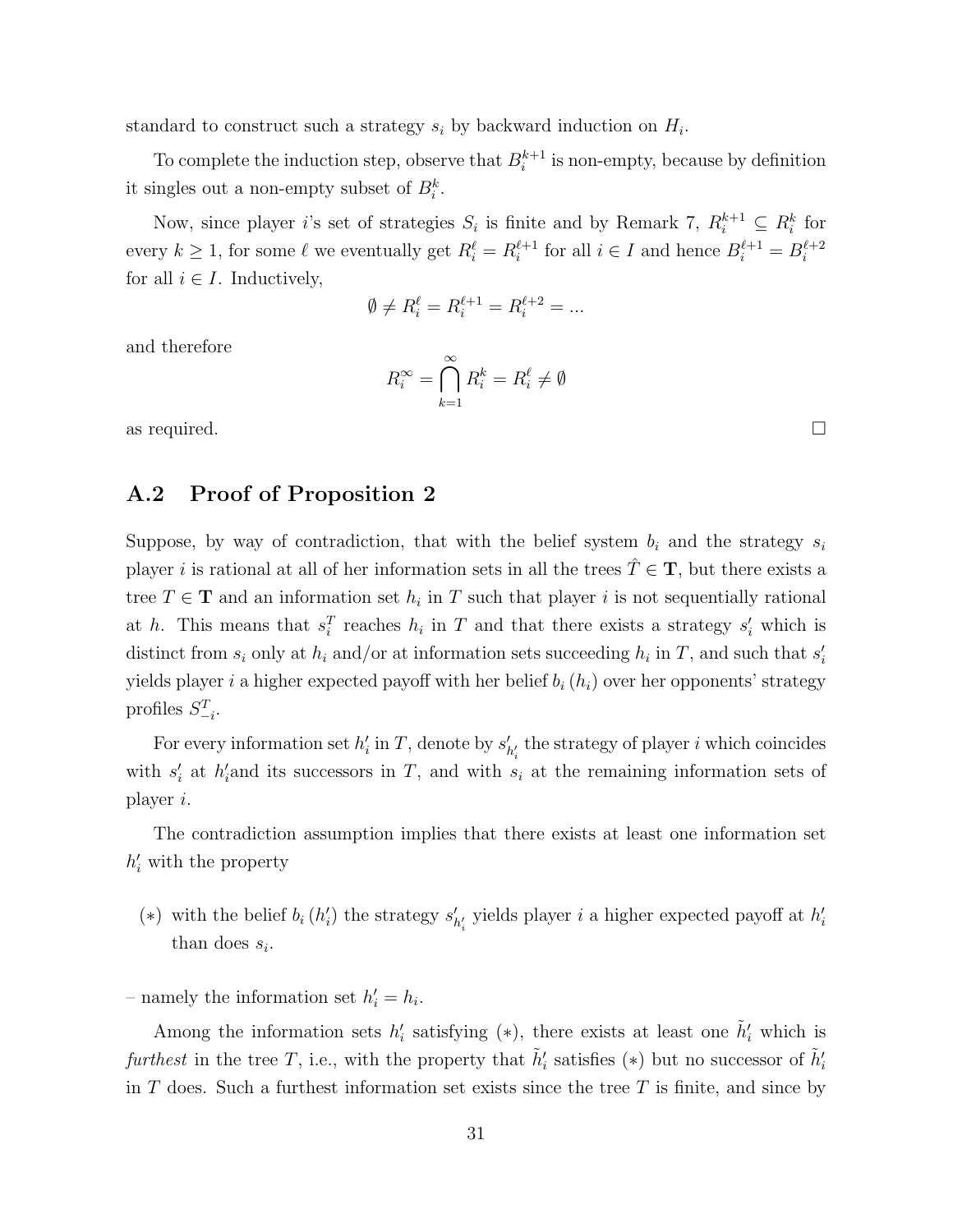standard to construct such a strategy  $s_i$  by backward induction on  $H_i$ .

To complete the induction step, observe that  $B_i^{k+1}$  $i^{k+1}$  is non-empty, because by definition it singles out a non-empty subset of  $B_i^k$ .

Now, since player *i*'s set of strategies  $S_i$  is finite and by Remark 7,  $R_i^{k+1} \subseteq R_i^k$  for every  $k \geq 1$ , for some  $\ell$  we eventually get  $R_i^{\ell} = R_i^{\ell+1}$  $i_i^{\ell+1}$  for all  $i \in I$  and hence  $B_i^{\ell+1} = B_i^{\ell+2}$ i for all  $i \in I$ . Inductively,

$$
\emptyset\neq R_i^\ell=R_i^{\ell+1}=R_i^{\ell+2}=...
$$

and therefore

$$
R_i^{\infty} = \bigcap_{k=1}^{\infty} R_i^k = R_i^{\ell} \neq \emptyset
$$

as required.  $\square$ 

### A.2 Proof of Proposition 2

Suppose, by way of contradiction, that with the belief system  $b_i$  and the strategy  $s_i$ player i is rational at all of her information sets in all the trees  $\hat{T} \in \mathbf{T}$ , but there exists a tree  $T \in \mathbf{T}$  and an information set  $h_i$  in T such that player i is not sequentially rational at h. This means that  $s_i^T$  reaches  $h_i$  in T and that there exists a strategy  $s_i'$  which is distinct from  $s_i$  only at  $h_i$  and/or at information sets succeeding  $h_i$  in T, and such that  $s'_i$ yields player i a higher expected payoff with her belief  $b_i(h_i)$  over her opponents' strategy profiles  $S_{-i}^T$ .

For every information set  $h'_i$  in T, denote by  $s'_i$  $'_{h'_i}$  the strategy of player i which coincides with  $s_i'$  at  $h_i'$  and its successors in T, and with  $s_i$  at the remaining information sets of player i.

The contradiction assumption implies that there exists at least one information set  $h'_i$  with the property

(\*) with the belief  $b_i(h'_i)$  the strategy  $s'_i$  $h_i'$  yields player  $i$  a higher expected payoff at  $h_i'$ than does  $s_i$ .

– namely the information set  $h'_i = h_i$ .

Among the information sets  $h'_i$  satisfying (\*), there exists at least one  $\tilde{h}'_i$  which is furthest in the tree T, i.e., with the property that  $\tilde{h}'_i$  satisfies (\*) but no successor of  $\tilde{h}'_i$ in T does. Such a furthest information set exists since the tree  $T$  is finite, and since by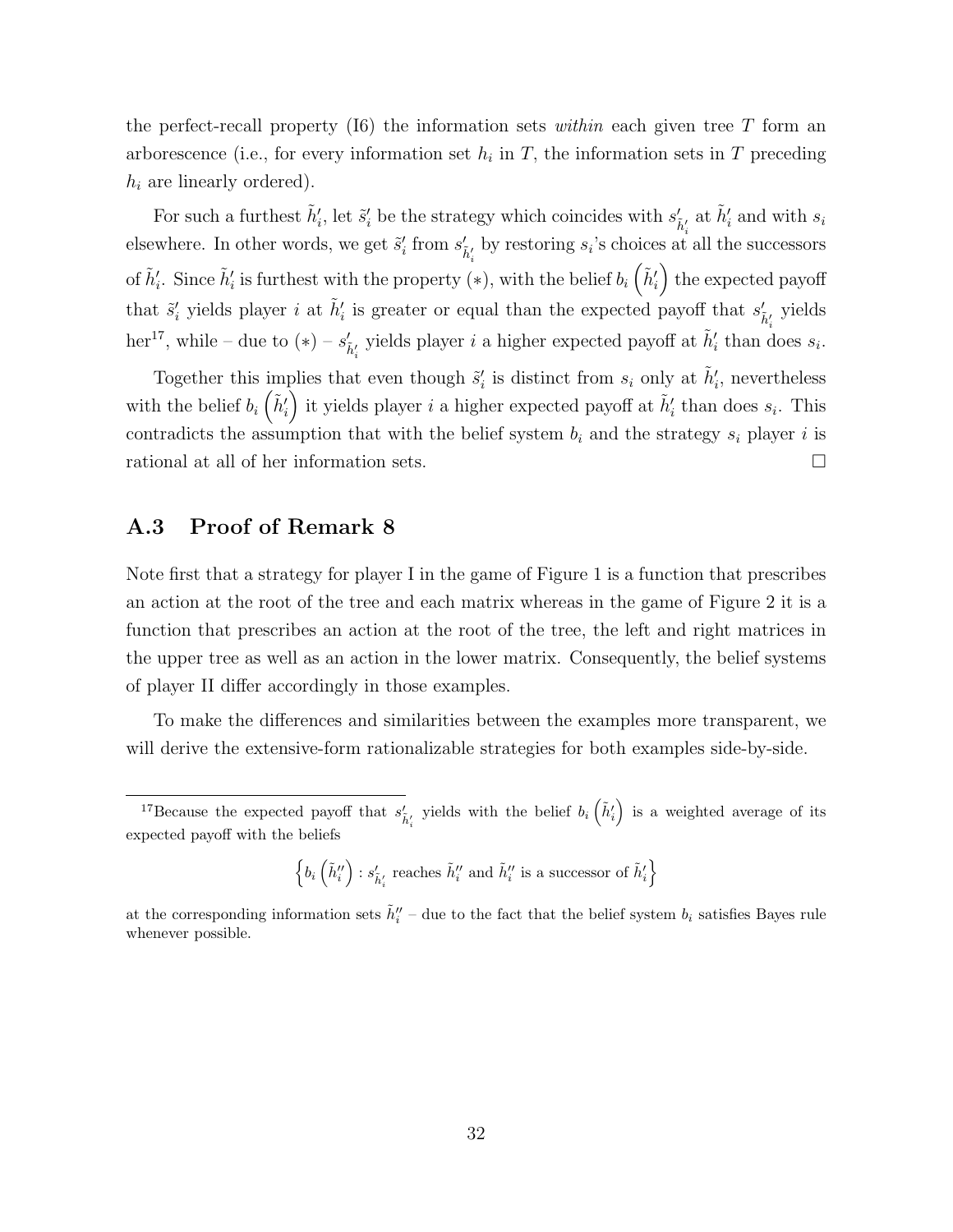the perfect-recall property (I6) the information sets within each given tree T form an arborescence (i.e., for every information set  $h_i$  in T, the information sets in T preceding  $h_i$  are linearly ordered).

For such a furthest  $\tilde{h}'_i$ , let  $\tilde{s}'_i$  be the strategy which coincides with  $s'_{\tilde{h}'_i}$  at  $\tilde{h}'_i$  and with  $s_i$ elsewhere. In other words, we get  $\tilde{s}'_i$  from  $s'_{\tilde{h}'_i}$  by restoring  $s_i$ 's choices at all the successors of  $\tilde{h}'_i$ . Since  $\tilde{h}'_i$  is furthest with the property  $(*)$ , with the belief  $b_i\left(\tilde{h}'_i\right)$  the expected payoff that  $\tilde{s}'_i$  yields player *i* at  $\tilde{h}'_i$  is greater or equal than the expected payoff that  $s'_{\tilde{h}'_i}$  yields her<sup>17</sup>, while – due to (\*) –  $s'_{\tilde{h}'_i}$  yields player *i* a higher expected payoff at  $\tilde{h}'_i$  than does  $s_i$ .

Together this implies that even though  $\tilde{s}'_i$  is distinct from  $s_i$  only at  $\tilde{h}'_i$ , nevertheless with the belief  $b_i\left(\tilde{h}'_i\right)$  it yields player i a higher expected payoff at  $\tilde{h}'_i$  than does  $s_i$ . This contradicts the assumption that with the belief system  $b_i$  and the strategy  $s_i$  player i is rational at all of her information sets.

### A.3 Proof of Remark 8

Note first that a strategy for player I in the game of Figure 1 is a function that prescribes an action at the root of the tree and each matrix whereas in the game of Figure 2 it is a function that prescribes an action at the root of the tree, the left and right matrices in the upper tree as well as an action in the lower matrix. Consequently, the belief systems of player II differ accordingly in those examples.

To make the differences and similarities between the examples more transparent, we will derive the extensive-form rationalizable strategies for both examples side-by-side.

 $\left\{b_i\left(\tilde{h}''_i\right):s'_{\tilde{h}'_i}\text{ reaches }\tilde{h}''_i\text{ and }\tilde{h}''_i\text{ is a successor of }\tilde{h}'_i\right\}$ 

<sup>&</sup>lt;sup>17</sup>Because the expected payoff that  $s'_{\tilde{h}'_i}$  yields with the belief  $b_i\left(\tilde{h}'_i\right)$  is a weighted average of its expected payoff with the beliefs

at the corresponding information sets  $\tilde{h}''_i$  – due to the fact that the belief system  $b_i$  satisfies Bayes rule whenever possible.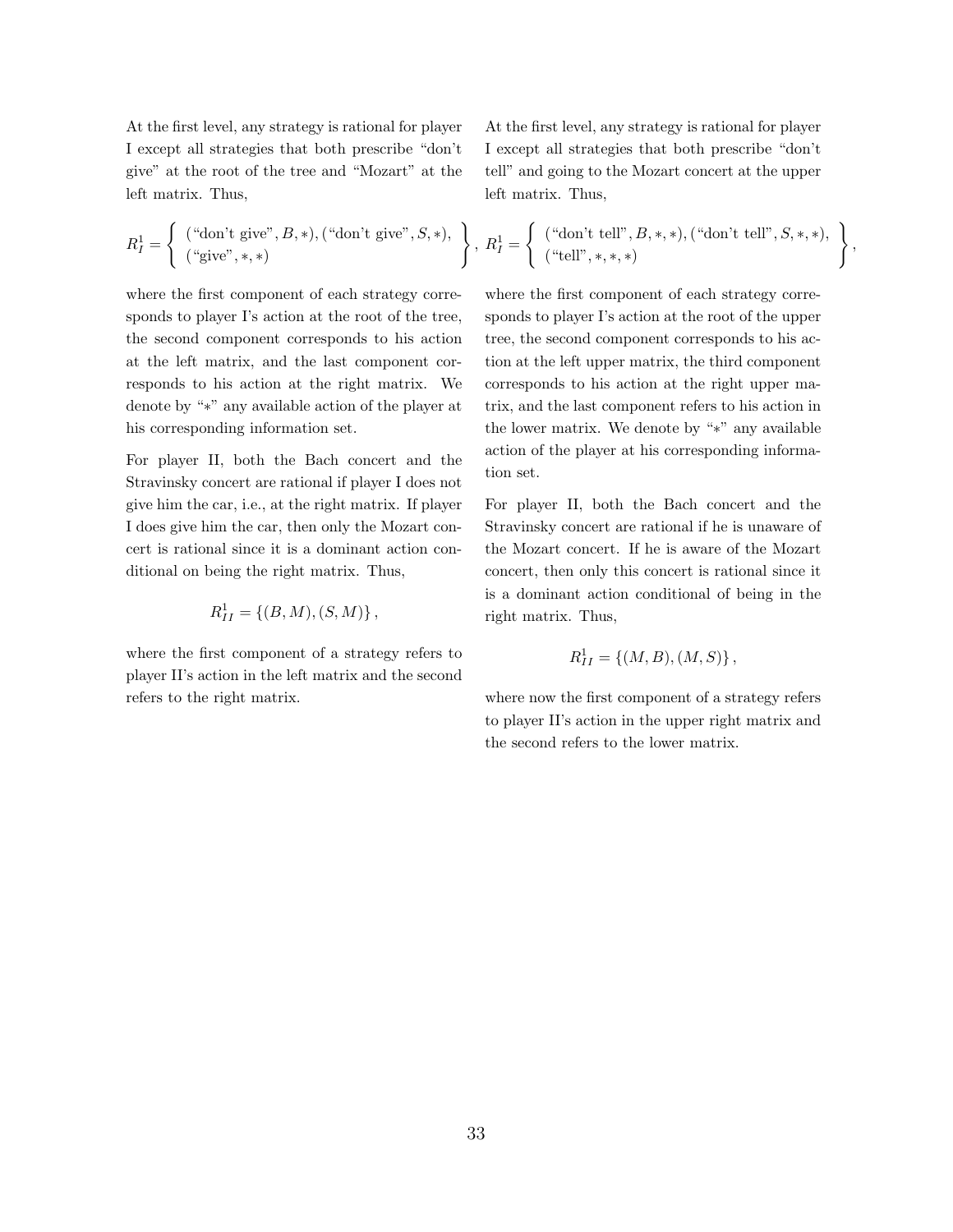At the first level, any strategy is rational for player I except all strategies that both prescribe "don't give" at the root of the tree and "Mozart" at the left matrix. Thus,

At the first level, any strategy is rational for player I except all strategies that both prescribe "don't tell" and going to the Mozart concert at the upper left matrix. Thus,

$$
R_I^1 = \left\{ \begin{array}{c} (\text{``don't give''}, B, *), (\text{``don't give''}, S, *), \\ (\text{``give''}, *, *) \end{array} \right\}, R_I^1 = \left\{ \begin{array}{c} (\text{``don't tell''}, B, *, *), (\text{``don't tell''}, S, *, *), \\ (\text{``tell''}, *, *, *) \end{array} \right\},
$$

where the first component of each strategy corresponds to player I's action at the root of the tree, the second component corresponds to his action at the left matrix, and the last component corresponds to his action at the right matrix. We denote by "∗" any available action of the player at his corresponding information set.

For player II, both the Bach concert and the Stravinsky concert are rational if player I does not give him the car, i.e., at the right matrix. If player I does give him the car, then only the Mozart concert is rational since it is a dominant action conditional on being the right matrix. Thus,

$$
R_{II}^1 = \{(B, M), (S, M)\},\,
$$

where the first component of a strategy refers to player II's action in the left matrix and the second refers to the right matrix.

where the first component of each strategy corresponds to player I's action at the root of the upper tree, the second component corresponds to his action at the left upper matrix, the third component corresponds to his action at the right upper matrix, and the last component refers to his action in the lower matrix. We denote by "∗" any available action of the player at his corresponding information set.

For player II, both the Bach concert and the Stravinsky concert are rational if he is unaware of the Mozart concert. If he is aware of the Mozart concert, then only this concert is rational since it is a dominant action conditional of being in the right matrix. Thus,

$$
R_{II}^1 = \{(M, B), (M, S)\},\,
$$

where now the first component of a strategy refers to player II's action in the upper right matrix and the second refers to the lower matrix.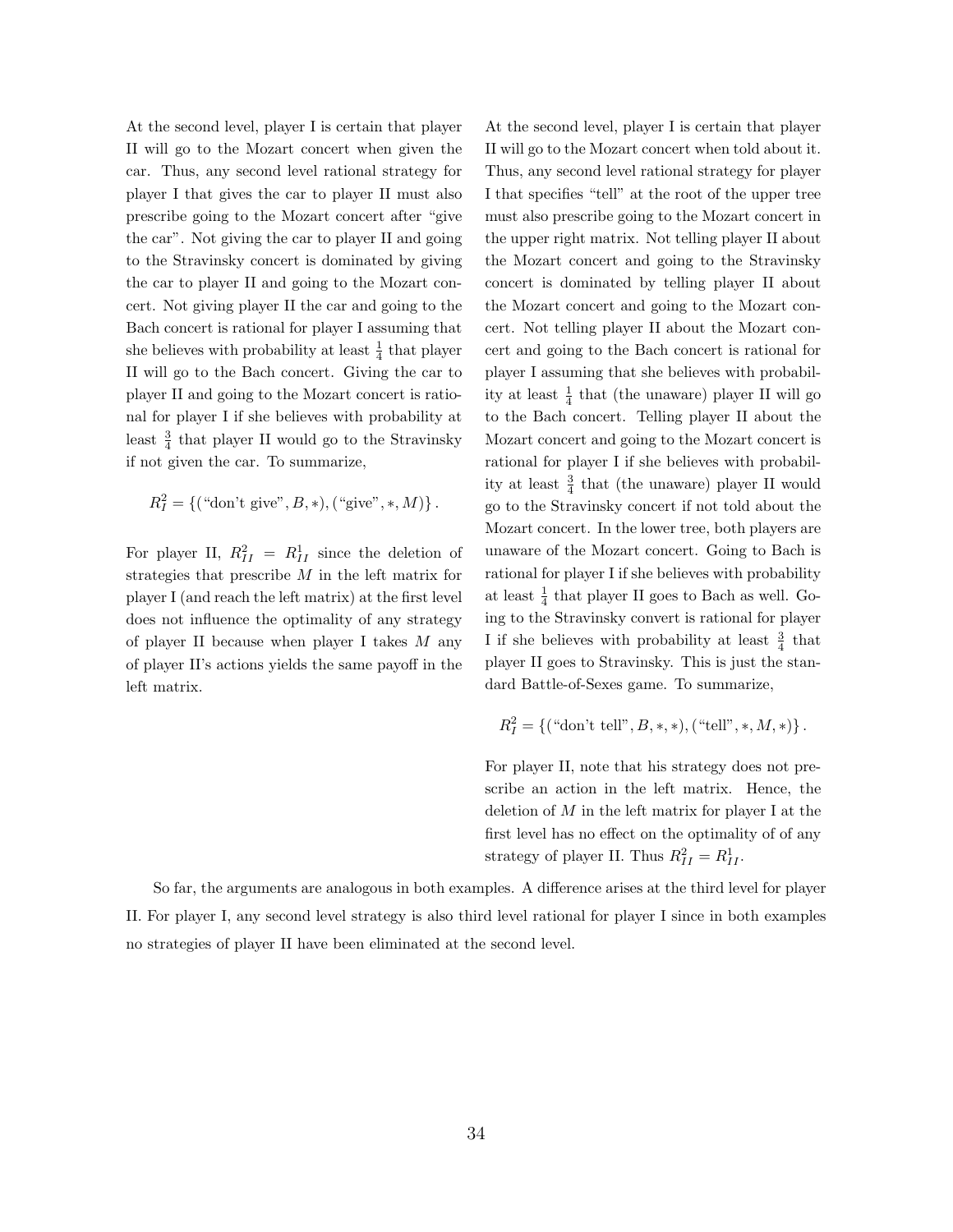At the second level, player I is certain that player II will go to the Mozart concert when given the car. Thus, any second level rational strategy for player I that gives the car to player II must also prescribe going to the Mozart concert after "give the car". Not giving the car to player II and going to the Stravinsky concert is dominated by giving the car to player II and going to the Mozart concert. Not giving player II the car and going to the Bach concert is rational for player I assuming that she believes with probability at least  $\frac{1}{4}$  that player II will go to the Bach concert. Giving the car to player II and going to the Mozart concert is rational for player I if she believes with probability at least  $\frac{3}{4}$  that player II would go to the Stravinsky if not given the car. To summarize,

$$
R_I^2 = \{ ("don't give", B, *), ("give", *, M) \}.
$$

For player II,  $R_{II}^2 = R_{II}^1$  since the deletion of strategies that prescribe M in the left matrix for player I (and reach the left matrix) at the first level does not influence the optimality of any strategy of player II because when player I takes  $M$  any of player II's actions yields the same payoff in the left matrix.

At the second level, player I is certain that player II will go to the Mozart concert when told about it. Thus, any second level rational strategy for player I that specifies "tell" at the root of the upper tree must also prescribe going to the Mozart concert in the upper right matrix. Not telling player II about the Mozart concert and going to the Stravinsky concert is dominated by telling player II about the Mozart concert and going to the Mozart concert. Not telling player II about the Mozart concert and going to the Bach concert is rational for player I assuming that she believes with probability at least  $\frac{1}{4}$  that (the unaware) player II will go to the Bach concert. Telling player II about the Mozart concert and going to the Mozart concert is rational for player I if she believes with probability at least  $\frac{3}{4}$  that (the unaware) player II would go to the Stravinsky concert if not told about the Mozart concert. In the lower tree, both players are unaware of the Mozart concert. Going to Bach is rational for player I if she believes with probability at least  $\frac{1}{4}$  that player II goes to Bach as well. Going to the Stravinsky convert is rational for player I if she believes with probability at least  $\frac{3}{4}$  that player II goes to Stravinsky. This is just the standard Battle-of-Sexes game. To summarize,

$$
R_I^2 = \{ (\text{``don't tell''}, B, *, *), (\text{``tell''}, *, M, *) \}.
$$

For player II, note that his strategy does not prescribe an action in the left matrix. Hence, the deletion of  $M$  in the left matrix for player I at the first level has no effect on the optimality of of any strategy of player II. Thus  $R_{II}^2 = R_{II}^1$ .

So far, the arguments are analogous in both examples. A difference arises at the third level for player II. For player I, any second level strategy is also third level rational for player I since in both examples no strategies of player II have been eliminated at the second level.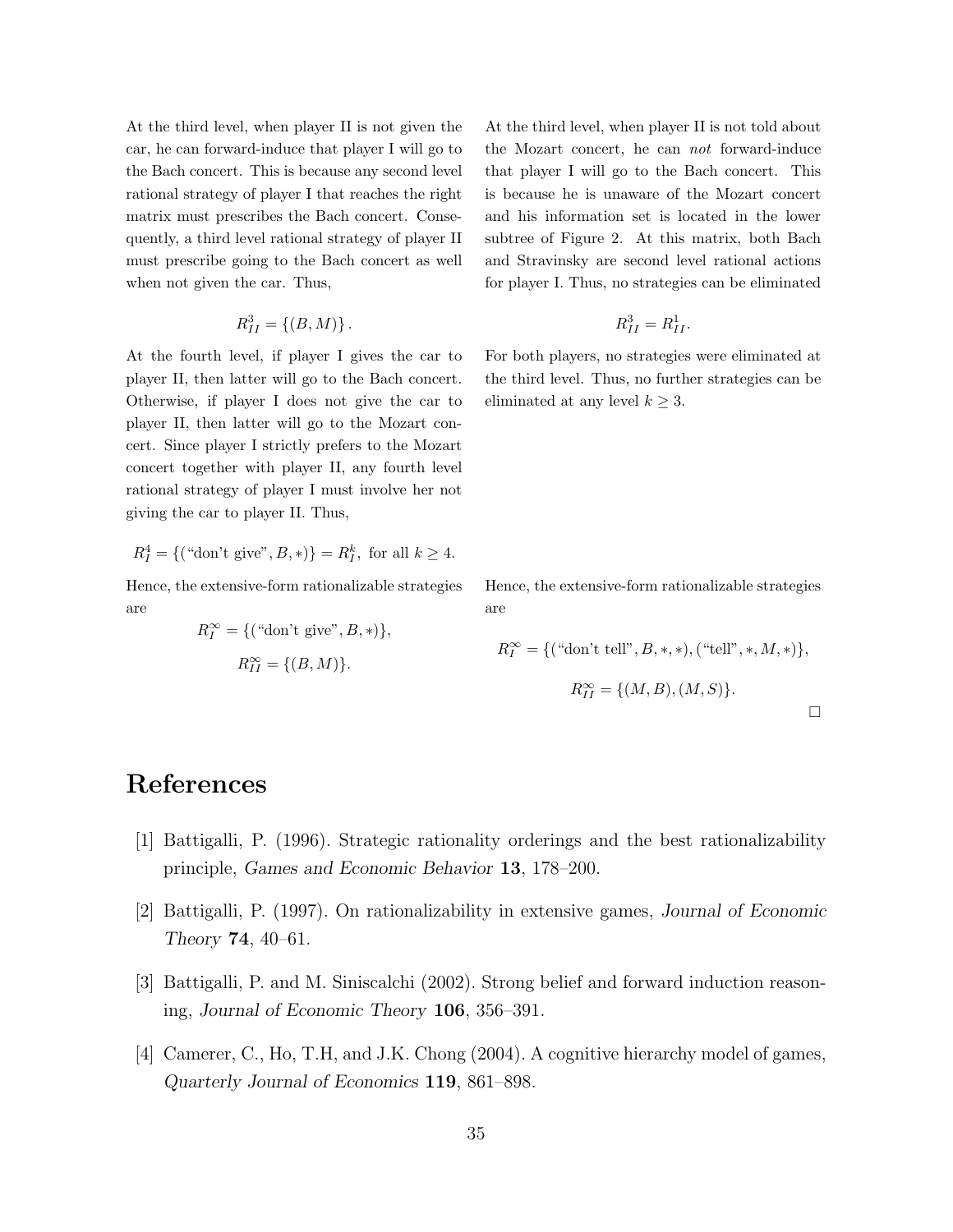At the third level, when player II is not given the car, he can forward-induce that player I will go to the Bach concert. This is because any second level rational strategy of player I that reaches the right matrix must prescribes the Bach concert. Consequently, a third level rational strategy of player II must prescribe going to the Bach concert as well when not given the car. Thus,

$$
R_{II}^3 = \{(B, M)\}.
$$

At the fourth level, if player I gives the car to player II, then latter will go to the Bach concert. Otherwise, if player I does not give the car to player II, then latter will go to the Mozart concert. Since player I strictly prefers to the Mozart concert together with player II, any fourth level rational strategy of player I must involve her not giving the car to player II. Thus,

$$
R_I^4 = \{ ("don't give", B, *) \} = R_I^k
$$
, for all  $k \ge 4$ .

Hence, the extensive-form rationalizable strategies are

$$
R_I^{\infty} = \{ (\text{``don't give''}, B, *) \},
$$
  

$$
R_{II}^{\infty} = \{ (B, M) \}.
$$

At the third level, when player II is not told about the Mozart concert, he can not forward-induce that player I will go to the Bach concert. This is because he is unaware of the Mozart concert and his information set is located in the lower subtree of Figure 2. At this matrix, both Bach and Stravinsky are second level rational actions for player I. Thus, no strategies can be eliminated

$$
R_{II}^3 = R_{II}^1.
$$

For both players, no strategies were eliminated at the third level. Thus, no further strategies can be eliminated at any level  $k \geq 3$ .

Hence, the extensive-form rationalizable strategies are

$$
R_I^{\infty} = \{ (\text{``don't tell''}, B, *, *), (\text{``tell''}, *, M, *) \},
$$
  

$$
R_{II}^{\infty} = \{ (M, B), (M, S) \}.
$$

# References

- [1] Battigalli, P. (1996). Strategic rationality orderings and the best rationalizability principle, Games and Economic Behavior 13, 178–200.
- [2] Battigalli, P. (1997). On rationalizability in extensive games, Journal of Economic Theory 74, 40–61.
- [3] Battigalli, P. and M. Siniscalchi (2002). Strong belief and forward induction reasoning, Journal of Economic Theory 106, 356–391.
- [4] Camerer, C., Ho, T.H, and J.K. Chong (2004). A cognitive hierarchy model of games, Quarterly Journal of Economics 119, 861–898.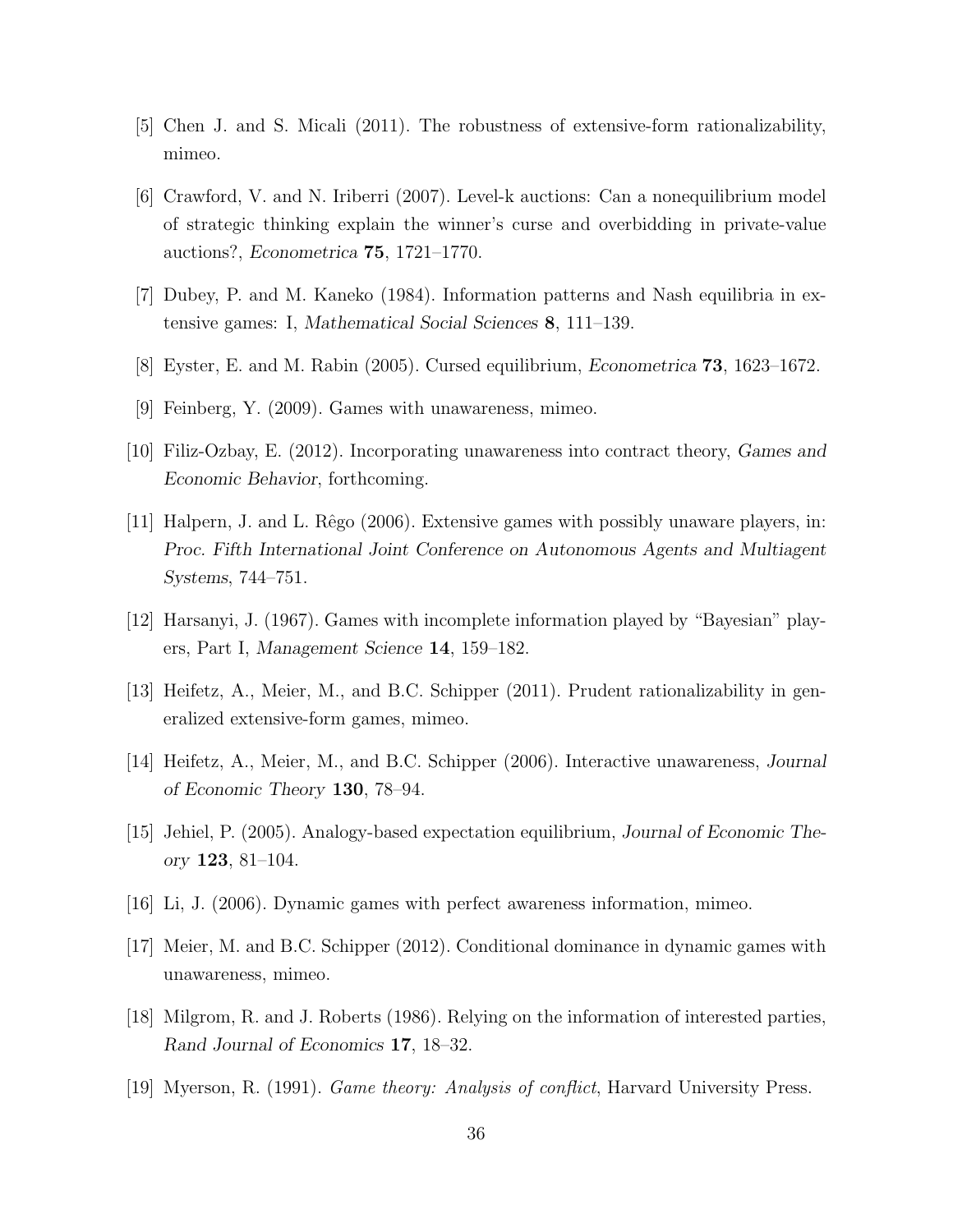- [5] Chen J. and S. Micali (2011). The robustness of extensive-form rationalizability, mimeo.
- [6] Crawford, V. and N. Iriberri (2007). Level-k auctions: Can a nonequilibrium model of strategic thinking explain the winner's curse and overbidding in private-value auctions?, Econometrica 75, 1721–1770.
- [7] Dubey, P. and M. Kaneko (1984). Information patterns and Nash equilibria in extensive games: I, Mathematical Social Sciences 8, 111–139.
- [8] Eyster, E. and M. Rabin (2005). Cursed equilibrium, Econometrica 73, 1623–1672.
- [9] Feinberg, Y. (2009). Games with unawareness, mimeo.
- [10] Filiz-Ozbay, E. (2012). Incorporating unawareness into contract theory, Games and Economic Behavior, forthcoming.
- [11] Halpern, J. and L. Rêgo (2006). Extensive games with possibly unaware players, in: Proc. Fifth International Joint Conference on Autonomous Agents and Multiagent Systems, 744–751.
- [12] Harsanyi, J. (1967). Games with incomplete information played by "Bayesian" players, Part I, Management Science 14, 159–182.
- [13] Heifetz, A., Meier, M., and B.C. Schipper (2011). Prudent rationalizability in generalized extensive-form games, mimeo.
- [14] Heifetz, A., Meier, M., and B.C. Schipper (2006). Interactive unawareness, Journal of Economic Theory 130, 78–94.
- [15] Jehiel, P. (2005). Analogy-based expectation equilibrium, Journal of Economic Theory 123, 81–104.
- [16] Li, J. (2006). Dynamic games with perfect awareness information, mimeo.
- [17] Meier, M. and B.C. Schipper (2012). Conditional dominance in dynamic games with unawareness, mimeo.
- [18] Milgrom, R. and J. Roberts (1986). Relying on the information of interested parties, Rand Journal of Economics 17, 18–32.
- [19] Myerson, R. (1991). Game theory: Analysis of conflict, Harvard University Press.